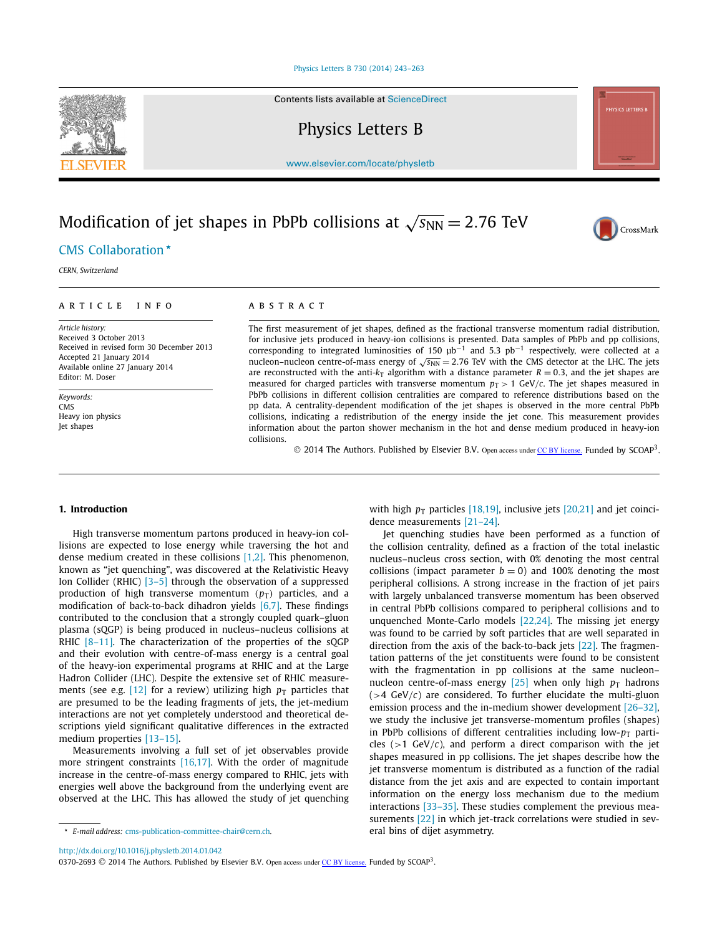#### [Physics Letters B 730 \(2014\) 243–263](http://dx.doi.org/10.1016/j.physletb.2014.01.042)

Contents lists available at [ScienceDirect](http://www.ScienceDirect.com/)

Physics Letters B

[www.elsevier.com/locate/physletb](http://www.elsevier.com/locate/physletb)

# Modification of jet shapes in PbPb collisions at  $\sqrt{s_{NN}} = 2.76$  TeV

# [.CMS Collaboration](#page-6-0) *-*

*CERN, Switzerland*

#### ARTICLE INFO ABSTRACT

*Article history:* Received 3 October 2013 Received in revised form 30 December 2013 Accepted 21 January 2014 Available online 27 January 2014 Editor: M. Doser

*Keywords:* CMS Heavy ion physics Jet shapes

The first measurement of jet shapes, defined as the fractional transverse momentum radial distribution, for inclusive jets produced in heavy-ion collisions is presented. Data samples of PbPb and pp collisions, corresponding to integrated luminosities of 150  $\mu$ b<sup>-1</sup> and 5.3 pb<sup>-1</sup> respectively, were collected at a nucleon–nucleon centre-of-mass energy of  $\sqrt{s_{NN}}$  = 2.76 TeV with the CMS detector at the LHC. The jets are reconstructed with the anti- $k<sub>T</sub>$  algorithm with a distance parameter  $R = 0.3$ , and the jet shapes are measured for charged particles with transverse momentum  $p<sub>T</sub> > 1$  GeV/*c*. The jet shapes measured in PbPb collisions in different collision centralities are compared to reference distributions based on the pp data. A centrality-dependent modification of the jet shapes is observed in the more central PbPb collisions, indicating a redistribution of the energy inside the jet cone. This measurement provides information about the parton shower mechanism in the hot and dense medium produced in heavy-ion collisions.

© 2014 The Authors. Published by Elsevier B.V. Open access under [CC BY license.](http://creativecommons.org/licenses/by/3.0/) Funded by SCOAP<sup>3</sup>.

### **1. Introduction**

High transverse momentum partons produced in heavy-ion collisions are expected to lose energy while traversing the hot and dense medium created in these collisions [\[1,2\].](#page-5-0) This phenomenon, known as "jet quenching", was discovered at the Relativistic Heavy Ion Collider (RHIC) [\[3–5\]](#page-5-0) through the observation of a suppressed production of high transverse momentum  $(p_T)$  particles, and a modification of back-to-back dihadron yields  $[6,7]$ . These findings contributed to the conclusion that a strongly coupled quark–gluon plasma (sQGP) is being produced in nucleus–nucleus collisions at RHIC  $[8-11]$ . The characterization of the properties of the sQGP and their evolution with centre-of-mass energy is a central goal of the heavy-ion experimental programs at RHIC and at the Large Hadron Collider (LHC). Despite the extensive set of RHIC measure-ments (see e.g. [\[12\]](#page-5-0) for a review) utilizing high  $p<sub>T</sub>$  particles that are presumed to be the leading fragments of jets, the jet-medium interactions are not yet completely understood and theoretical descriptions yield significant qualitative differences in the extracted medium properties [\[13–15\].](#page-5-0)

Measurements involving a full set of jet observables provide more stringent constraints [\[16,17\].](#page-5-0) With the order of magnitude increase in the centre-of-mass energy compared to RHIC, jets with energies well above the background from the underlying event are observed at the LHC. This has allowed the study of jet quenching with high  $p_T$  particles [\[18,19\],](#page-5-0) inclusive jets [\[20,21\]](#page-5-0) and jet coincidence measurements [\[21–24\].](#page-5-0)

Jet quenching studies have been performed as a function of the collision centrality, defined as a fraction of the total inelastic nucleus–nucleus cross section, with 0% denoting the most central collisions (impact parameter  $b = 0$ ) and 100% denoting the most peripheral collisions. A strong increase in the fraction of jet pairs with largely unbalanced transverse momentum has been observed in central PbPb collisions compared to peripheral collisions and to unquenched Monte-Carlo models [\[22,24\].](#page-5-0) The missing jet energy was found to be carried by soft particles that are well separated in direction from the axis of the back-to-back jets [\[22\].](#page-5-0) The fragmentation patterns of the jet constituents were found to be consistent with the fragmentation in pp collisions at the same nucleon– nucleon centre-of-mass energy  $[25]$  when only high  $p_T$  hadrons (*>*4 GeV*/c*) are considered. To further elucidate the multi-gluon emission process and the in-medium shower development [\[26–32\],](#page-5-0) we study the inclusive jet transverse-momentum profiles (shapes) in PbPb collisions of different centralities including low- $p_T$  particles (*>*1 GeV*/c*), and perform a direct comparison with the jet shapes measured in pp collisions. The jet shapes describe how the jet transverse momentum is distributed as a function of the radial distance from the jet axis and are expected to contain important information on the energy loss mechanism due to the medium interactions [33-35]. These studies complement the previous measurements [\[22\]](#page-5-0) in which jet-track correlations were studied in several bins of dijet asymmetry.



CrossMark

*<sup>-</sup> E-mail address:* [cms-publication-committee-chair@cern.ch](mailto:cms-publication-committee-chair@cern.ch).

<sup>0370-2693 © 2014</sup> The Authors. Published by Elsevier B.V. Open access under [CC BY license.](http://creativecommons.org/licenses/by/3.0/) Funded by SCOAP<sup>3</sup>.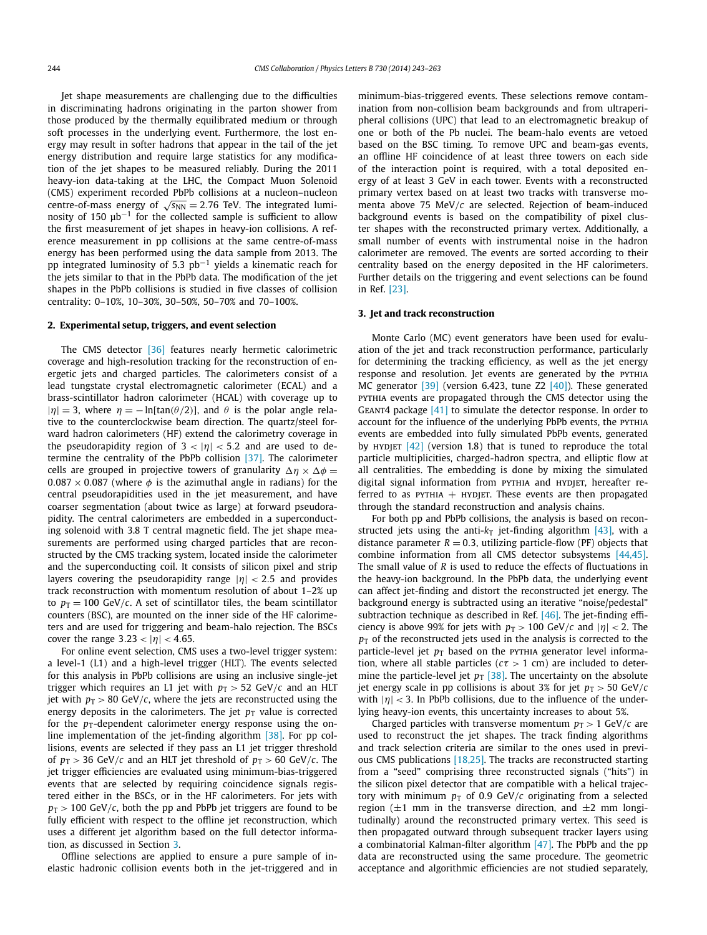Jet shape measurements are challenging due to the difficulties in discriminating hadrons originating in the parton shower from those produced by the thermally equilibrated medium or through soft processes in the underlying event. Furthermore, the lost energy may result in softer hadrons that appear in the tail of the jet energy distribution and require large statistics for any modification of the jet shapes to be measured reliably. During the 2011 heavy-ion data-taking at the LHC, the Compact Muon Solenoid (CMS) experiment recorded PbPb collisions at a nucleon–nucleon centre-of-mass energy of  $\sqrt{s_{NN}}$  = 2.76 TeV. The integrated luminosity of 150  $\mu$ b<sup>-1</sup> for the collected sample is sufficient to allow the first measurement of jet shapes in heavy-ion collisions. A reference measurement in pp collisions at the same centre-of-mass energy has been performed using the data sample from 2013. The pp integrated luminosity of 5.3  $pb^{-1}$  yields a kinematic reach for the jets similar to that in the PbPb data. The modification of the jet shapes in the PbPb collisions is studied in five classes of collision centrality: 0–10%, 10–30%, 30–50%, 50–70% and 70–100%.

#### **2. Experimental setup, triggers, and event selection**

The CMS detector [\[36\]](#page-5-0) features nearly hermetic calorimetric coverage and high-resolution tracking for the reconstruction of energetic jets and charged particles. The calorimeters consist of a lead tungstate crystal electromagnetic calorimeter (ECAL) and a brass-scintillator hadron calorimeter (HCAL) with coverage up to | $|\eta| = 3$ , where  $\eta = -\ln[\tan(\theta/2)]$ , and  $\theta$  is the polar angle relative to the counterclockwise beam direction. The quartz/steel forward hadron calorimeters (HF) extend the calorimetry coverage in the pseudorapidity region of  $3 < |\eta| < 5.2$  and are used to determine the centrality of the PbPb collision [\[37\].](#page-5-0) The calorimeter cells are grouped in projective towers of granularity  $\Delta \eta \times \Delta \phi =$  $0.087 \times 0.087$  (where  $\phi$  is the azimuthal angle in radians) for the central pseudorapidities used in the jet measurement, and have coarser segmentation (about twice as large) at forward pseudorapidity. The central calorimeters are embedded in a superconducting solenoid with 3.8 T central magnetic field. The jet shape measurements are performed using charged particles that are reconstructed by the CMS tracking system, located inside the calorimeter and the superconducting coil. It consists of silicon pixel and strip layers covering the pseudorapidity range |*η*| *<* <sup>2</sup>*.*5 and provides track reconstruction with momentum resolution of about 1–2% up to  $p_T = 100 \text{ GeV}/c$ . A set of scintillator tiles, the beam scintillator counters (BSC), are mounted on the inner side of the HF calorimeters and are used for triggering and beam-halo rejection. The BSCs cover the range  $3.23 < |\eta| < 4.65$ .

For online event selection, CMS uses a two-level trigger system: a level-1 (L1) and a high-level trigger (HLT). The events selected for this analysis in PbPb collisions are using an inclusive single-jet trigger which requires an L1 jet with  $p_T > 52$  GeV/*c* and an HLT jet with  $p_T > 80$  GeV/*c*, where the jets are reconstructed using the energy deposits in the calorimeters. The jet  $p<sub>T</sub>$  value is corrected for the  $p_T$ -dependent calorimeter energy response using the online implementation of the jet-finding algorithm [\[38\].](#page-5-0) For pp collisions, events are selected if they pass an L1 jet trigger threshold of  $p_T > 36$  GeV/*c* and an HLT jet threshold of  $p_T > 60$  GeV/*c*. The jet trigger efficiencies are evaluated using minimum-bias-triggered events that are selected by requiring coincidence signals registered either in the BSCs, or in the HF calorimeters. For jets with  $p_T$  > 100 GeV/*c*, both the pp and PbPb jet triggers are found to be fully efficient with respect to the offline jet reconstruction, which uses a different jet algorithm based on the full detector information, as discussed in Section 3.

Offline selections are applied to ensure a pure sample of inelastic hadronic collision events both in the jet-triggered and in minimum-bias-triggered events. These selections remove contamination from non-collision beam backgrounds and from ultraperipheral collisions (UPC) that lead to an electromagnetic breakup of one or both of the Pb nuclei. The beam-halo events are vetoed based on the BSC timing. To remove UPC and beam-gas events, an offline HF coincidence of at least three towers on each side of the interaction point is required, with a total deposited energy of at least 3 GeV in each tower. Events with a reconstructed primary vertex based on at least two tracks with transverse momenta above 75 MeV*/c* are selected. Rejection of beam-induced background events is based on the compatibility of pixel cluster shapes with the reconstructed primary vertex. Additionally, a small number of events with instrumental noise in the hadron calorimeter are removed. The events are sorted according to their centrality based on the energy deposited in the HF calorimeters. Further details on the triggering and event selections can be found in Ref. [\[23\].](#page-5-0)

### **3. Jet and track reconstruction**

Monte Carlo (MC) event generators have been used for evaluation of the jet and track reconstruction performance, particularly for determining the tracking efficiency, as well as the jet energy response and resolution. Jet events are generated by the PYTHIA MC generator [\[39\]](#page-5-0) (version 6.423, tune Z2 [\[40\]\)](#page-5-0). These generated pythia events are propagated through the CMS detector using the Geant4 package [\[41\]](#page-5-0) to simulate the detector response. In order to account for the influence of the underlying PbPb events, the PYTHIA events are embedded into fully simulated PbPb events, generated by HYDJET  $[42]$  (version 1.8) that is tuned to reproduce the total particle multiplicities, charged-hadron spectra, and elliptic flow at all centralities. The embedding is done by mixing the simulated digital signal information from PYTHIA and HYDJET, hereafter referred to as PYTHIA  $+$  HYDJET. These events are then propagated through the standard reconstruction and analysis chains.

For both pp and PbPb collisions, the analysis is based on reconstructed jets using the anti- $k<sub>T</sub>$  jet-finding algorithm [\[43\],](#page-5-0) with a distance parameter  $R = 0.3$ , utilizing particle-flow (PF) objects that combine information from all CMS detector subsystems [\[44,45\].](#page-5-0) The small value of *R* is used to reduce the effects of fluctuations in the heavy-ion background. In the PbPb data, the underlying event can affect jet-finding and distort the reconstructed jet energy. The background energy is subtracted using an iterative "noise/pedestal" subtraction technique as described in Ref.  $[46]$ . The jet-finding efficiency is above 99% for jets with  $p_T > 100$  GeV/*c* and  $|\eta| < 2$ . The  $p<sub>T</sub>$  of the reconstructed jets used in the analysis is corrected to the particle-level jet  $p_T$  based on the PYTHIA generator level information, where all stable particles ( $c\tau > 1$  cm) are included to determine the particle-level jet  $p_T$  [\[38\].](#page-5-0) The uncertainty on the absolute jet energy scale in pp collisions is about 3% for jet  $p_T > 50$  GeV/*c* with  $|\eta|$  < 3. In PbPb collisions, due to the influence of the underlying heavy-ion events, this uncertainty increases to about 5%.

Charged particles with transverse momentum  $p_T > 1$  GeV/*c* are used to reconstruct the jet shapes. The track finding algorithms and track selection criteria are similar to the ones used in previous CMS publications [\[18,25\].](#page-5-0) The tracks are reconstructed starting from a "seed" comprising three reconstructed signals ("hits") in the silicon pixel detector that are compatible with a helical trajectory with minimum  $p<sub>T</sub>$  of 0.9 GeV/*c* originating from a selected region ( $\pm$ 1 mm in the transverse direction, and  $\pm$ 2 mm longitudinally) around the reconstructed primary vertex. This seed is then propagated outward through subsequent tracker layers using a combinatorial Kalman-filter algorithm  $[47]$ . The PbPb and the pp data are reconstructed using the same procedure. The geometric acceptance and algorithmic efficiencies are not studied separately,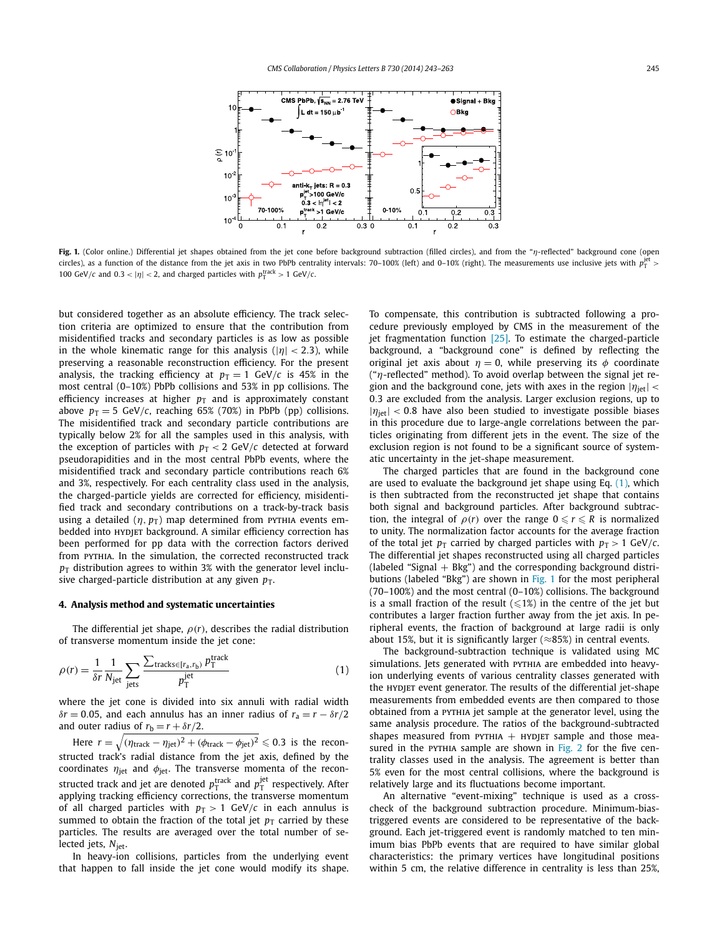

**Fig. 1.** (Color online.) Differential jet shapes obtained from the jet cone before background subtraction (filled circles), and from the "*η*-reflected" background cone (open circles), as a function of the distance from the jet axis in two PbPb centrality intervals: 70–100% (left) and 0–10% (right). The measurements use inclusive jets with  $p_T^{\rm jet} >$ 100 GeV/*c* and 0.3  $<$   $|\eta|$   $<$  2, and charged particles with  $p_T^{\text{track}} > 1$  GeV/*c*.

but considered together as an absolute efficiency. The track selection criteria are optimized to ensure that the contribution from misidentified tracks and secondary particles is as low as possible in the whole kinematic range for this analysis ( $|\eta|$  < 2.3), while preserving a reasonable reconstruction efficiency. For the present analysis, the tracking efficiency at  $p_T = 1$  GeV/*c* is 45% in the most central (0–10%) PbPb collisions and 53% in pp collisions. The efficiency increases at higher  $p<sub>T</sub>$  and is approximately constant above  $p_T = 5$  GeV/*c*, reaching 65% (70%) in PbPb (pp) collisions. The misidentified track and secondary particle contributions are typically below 2% for all the samples used in this analysis, with the exception of particles with  $p_T < 2$  GeV/*c* detected at forward pseudorapidities and in the most central PbPb events, where the misidentified track and secondary particle contributions reach 6% and 3%, respectively. For each centrality class used in the analysis, the charged-particle yields are corrected for efficiency, misidentified track and secondary contributions on a track-by-track basis using a detailed  $(\eta, p_T)$  map determined from PYTHIA events embedded into HYDJET background. A similar efficiency correction has been performed for pp data with the correction factors derived from pythia. In the simulation, the corrected reconstructed track  $p_T$  distribution agrees to within 3% with the generator level inclusive charged-particle distribution at any given  $p_T$ .

#### **4. Analysis method and systematic uncertainties**

The differential jet shape,  $\rho(r)$ , describes the radial distribution of transverse momentum inside the jet cone:

$$
\rho(r) = \frac{1}{\delta r} \frac{1}{N_{\text{jet}}} \sum_{\text{jets}} \frac{\sum_{\text{tracks} \in [r_a, r_b)} p_{\text{T}}^{\text{track}}}{p_{\text{T}}^{\text{jet}}} \tag{1}
$$

where the jet cone is divided into six annuli with radial width  $\delta r = 0.05$ , and each annulus has an inner radius of  $r_a = r - \delta r/2$ and outer radius of  $r<sub>b</sub> = r + \delta r/2$ .

Here  $r = \sqrt{(\eta_{\text{track}} - \eta_{\text{jet}})^2 + (\phi_{\text{track}} - \phi_{\text{jet}})^2} \leqslant 0.3$  is the reconstructed track's radial distance from the jet axis, defined by the coordinates  $\eta_{jet}$  and  $\phi_{jet}$ . The transverse momenta of the reconstructed track and jet are denoted  $p_{\textrm{T}}^{\textrm{track}}$  and  $p_{\textrm{T}}^{\textrm{jet}}$  respectively. After applying tracking efficiency corrections, the transverse momentum of all charged particles with  $p<sub>T</sub> > 1$  GeV/*c* in each annulus is summed to obtain the fraction of the total jet  $p_T$  carried by these particles. The results are averaged over the total number of selected jets, N<sub>iet</sub>.

In heavy-ion collisions, particles from the underlying event that happen to fall inside the jet cone would modify its shape. To compensate, this contribution is subtracted following a procedure previously employed by CMS in the measurement of the jet fragmentation function [\[25\].](#page-5-0) To estimate the charged-particle background, a "background cone" is defined by reflecting the original jet axis about  $\eta = 0$ , while preserving its  $\phi$  coordinate ("*η*-reflected" method). To avoid overlap between the signal jet region and the background cone, jets with axes in the region |*η*jet| *<* 0*.*3 are excluded from the analysis. Larger exclusion regions, up to  $|\eta_{\text{jet}}|$  < 0.8 have also been studied to investigate possible biases in this procedure due to large-angle correlations between the particles originating from different jets in the event. The size of the exclusion region is not found to be a significant source of systematic uncertainty in the jet-shape measurement.

The charged particles that are found in the background cone are used to evaluate the background jet shape using Eq. (1), which is then subtracted from the reconstructed jet shape that contains both signal and background particles. After background subtraction, the integral of  $\rho(r)$  over the range  $0 \leq r \leq R$  is normalized to unity. The normalization factor accounts for the average fraction of the total jet  $p<sub>T</sub>$  carried by charged particles with  $p<sub>T</sub> > 1$  GeV/*c*. The differential jet shapes reconstructed using all charged particles (labeled "Signal  $+$  Bkg") and the corresponding background distributions (labeled "Bkg") are shown in Fig. 1 for the most peripheral (70–100%) and the most central (0–10%) collisions. The background is a small fraction of the result ( ${\leqslant}1\%$ ) in the centre of the jet but contributes a larger fraction further away from the jet axis. In peripheral events, the fraction of background at large radii is only about 15%, but it is significantly larger ( $\approx$ 85%) in central events.

The background-subtraction technique is validated using MC simulations. Jets generated with PYTHIA are embedded into heavyion underlying events of various centrality classes generated with the HYDJET event generator. The results of the differential jet-shape measurements from embedded events are then compared to those obtained from a pythia jet sample at the generator level, using the same analysis procedure. The ratios of the background-subtracted shapes measured from PYTHIA  $+$  HYDJET sample and those mea-sured in the PYTHIA sample are shown in [Fig. 2](#page-3-0) for the five centrality classes used in the analysis. The agreement is better than 5% even for the most central collisions, where the background is relatively large and its fluctuations become important.

An alternative "event-mixing" technique is used as a crosscheck of the background subtraction procedure. Minimum-biastriggered events are considered to be representative of the background. Each jet-triggered event is randomly matched to ten minimum bias PbPb events that are required to have similar global characteristics: the primary vertices have longitudinal positions within 5 cm, the relative difference in centrality is less than 25%,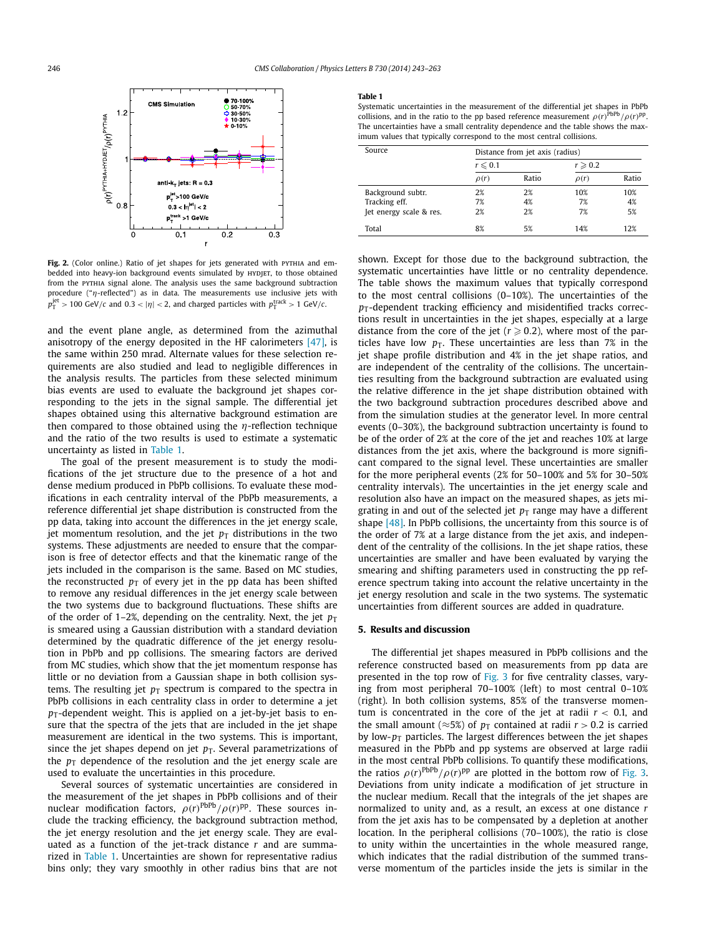<span id="page-3-0"></span>

Fig. 2. (Color online.) Ratio of jet shapes for jets generated with PYTHIA and embedded into heavy-ion background events simulated by HYDJET, to those obtained from the PYTHIA signal alone. The analysis uses the same background subtraction procedure ("*η*-reflected") as in data. The measurements use inclusive jets with  $p_{\text{T}}^{\text{jet}} > 100$  GeV/*c* and 0.3  $<$  | $\eta$ |  $<$  2, and charged particles with  $p_{\text{T}}^{\text{track}} > 1$  GeV/*c*.

and the event plane angle, as determined from the azimuthal anisotropy of the energy deposited in the HF calorimeters [\[47\],](#page-6-0) is the same within 250 mrad. Alternate values for these selection requirements are also studied and lead to negligible differences in the analysis results. The particles from these selected minimum bias events are used to evaluate the background jet shapes corresponding to the jets in the signal sample. The differential jet shapes obtained using this alternative background estimation are then compared to those obtained using the *η*-reflection technique and the ratio of the two results is used to estimate a systematic uncertainty as listed in Table 1.

The goal of the present measurement is to study the modifications of the jet structure due to the presence of a hot and dense medium produced in PbPb collisions. To evaluate these modifications in each centrality interval of the PbPb measurements, a reference differential jet shape distribution is constructed from the pp data, taking into account the differences in the jet energy scale, jet momentum resolution, and the jet  $p_T$  distributions in the two systems. These adjustments are needed to ensure that the comparison is free of detector effects and that the kinematic range of the jets included in the comparison is the same. Based on MC studies, the reconstructed  $p<sub>T</sub>$  of every jet in the pp data has been shifted to remove any residual differences in the jet energy scale between the two systems due to background fluctuations. These shifts are of the order of 1–2%, depending on the centrality. Next, the jet  $p_T$ is smeared using a Gaussian distribution with a standard deviation determined by the quadratic difference of the jet energy resolution in PbPb and pp collisions. The smearing factors are derived from MC studies, which show that the jet momentum response has little or no deviation from a Gaussian shape in both collision systems. The resulting jet  $p<sub>T</sub>$  spectrum is compared to the spectra in PbPb collisions in each centrality class in order to determine a jet  $p_T$ -dependent weight. This is applied on a jet-by-jet basis to ensure that the spectra of the jets that are included in the jet shape measurement are identical in the two systems. This is important, since the jet shapes depend on jet  $p_T$ . Several parametrizations of the  $p_T$  dependence of the resolution and the jet energy scale are used to evaluate the uncertainties in this procedure.

Several sources of systematic uncertainties are considered in the measurement of the jet shapes in PbPb collisions and of their nuclear modification factors,  $\rho(r)^{\text{PbPb}}/\rho(r)^{\text{pp}}$ . These sources include the tracking efficiency, the background subtraction method, the jet energy resolution and the jet energy scale. They are evaluated as a function of the jet-track distance *r* and are summarized in Table 1. Uncertainties are shown for representative radius bins only; they vary smoothly in other radius bins that are not

#### **Table 1**

Systematic uncertainties in the measurement of the differential jet shapes in PbPb collisions, and in the ratio to the pp based reference measurement  $\rho(r)^{\text{PbPb}}/\rho(r)^{\text{pp}}$ . The uncertainties have a small centrality dependence and the table shows the maximum values that typically correspond to the most central collisions.

| Source                  | Distance from jet axis (radius) |       |                   |       |
|-------------------------|---------------------------------|-------|-------------------|-------|
|                         | $r \leqslant 0.1$               |       | $r \geqslant 0.2$ |       |
|                         | $\rho(r)$                       | Ratio | $\rho(r)$         | Ratio |
| Background subtr.       | 2%                              | 2%    | 10%               | 10%   |
| Tracking eff.           | 7%                              | 4%    | 7%                | 4%    |
| Jet energy scale & res. | 2%                              | 2%    | 7%                | 5%    |
| Total                   | 8%                              | 5%    | 14%               | 12%   |

shown. Except for those due to the background subtraction, the systematic uncertainties have little or no centrality dependence. The table shows the maximum values that typically correspond to the most central collisions (0–10%). The uncertainties of the  $p_T$ -dependent tracking efficiency and misidentified tracks corrections result in uncertainties in the jet shapes, especially at a large distance from the core of the jet ( $r \ge 0.2$ ), where most of the particles have low  $p<sub>T</sub>$ . These uncertainties are less than 7% in the jet shape profile distribution and 4% in the jet shape ratios, and are independent of the centrality of the collisions. The uncertainties resulting from the background subtraction are evaluated using the relative difference in the jet shape distribution obtained with the two background subtraction procedures described above and from the simulation studies at the generator level. In more central events (0–30%), the background subtraction uncertainty is found to be of the order of 2% at the core of the jet and reaches 10% at large distances from the jet axis, where the background is more significant compared to the signal level. These uncertainties are smaller for the more peripheral events (2% for 50–100% and 5% for 30–50% centrality intervals). The uncertainties in the jet energy scale and resolution also have an impact on the measured shapes, as jets migrating in and out of the selected jet  $p<sub>T</sub>$  range may have a different shape [\[48\].](#page-6-0) In PbPb collisions, the uncertainty from this source is of the order of 7% at a large distance from the jet axis, and independent of the centrality of the collisions. In the jet shape ratios, these uncertainties are smaller and have been evaluated by varying the smearing and shifting parameters used in constructing the pp reference spectrum taking into account the relative uncertainty in the jet energy resolution and scale in the two systems. The systematic uncertainties from different sources are added in quadrature.

### **5. Results and discussion**

The differential jet shapes measured in PbPb collisions and the reference constructed based on measurements from pp data are presented in the top row of [Fig. 3](#page-4-0) for five centrality classes, varying from most peripheral 70–100% (left) to most central 0–10% (right). In both collision systems, 85% of the transverse momentum is concentrated in the core of the jet at radii  $r < 0.1$ , and the small amount ( $\approx$ 5%) of  $p_T$  contained at radii  $r > 0.2$  is carried by low- $p_T$  particles. The largest differences between the jet shapes measured in the PbPb and pp systems are observed at large radii in the most central PbPb collisions. To quantify these modifications, the ratios  $\rho(r)^{\text{PbPb}}/\rho(r)^{\text{pp}}$  are plotted in the bottom row of [Fig. 3.](#page-4-0) Deviations from unity indicate a modification of jet structure in the nuclear medium. Recall that the integrals of the jet shapes are normalized to unity and, as a result, an excess at one distance *r* from the jet axis has to be compensated by a depletion at another location. In the peripheral collisions (70–100%), the ratio is close to unity within the uncertainties in the whole measured range, which indicates that the radial distribution of the summed transverse momentum of the particles inside the jets is similar in the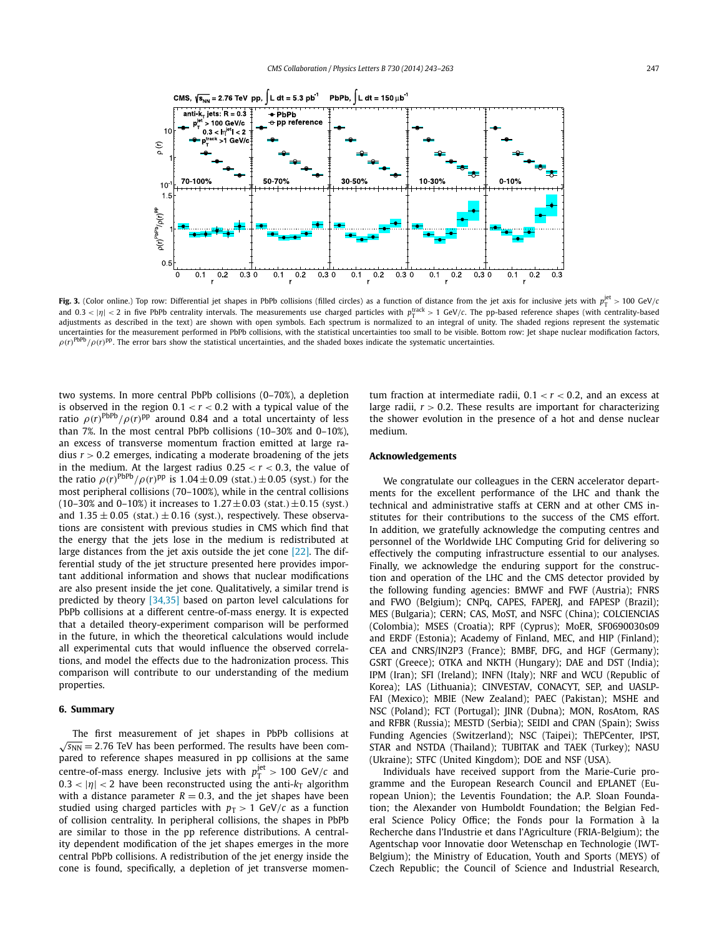<span id="page-4-0"></span>

**Fig. 3.** (Color online.) Top row: Differential jet shapes in PbPb collisions (filled circles) as a function of distance from the jet axis for inclusive jets with  $p_1^{\text{jet}} > 100 \text{ GeV/c}$ and  $0.3 < |\eta| < 2$  in five PbPb centrality intervals. The measurements use charged particles with  $p_T^{\rm track} > 1$  GeV/c. The pp-based reference shapes (with centrality-based adjustments as described in the text) are shown with open symbols. Each spectrum is normalized to an integral of unity. The shaded regions represent the systematic uncertainties for the measurement performed in PbPb collisions, with the statistical uncertainties too small to be visible. Bottom row: Jet shape nuclear modification factors,  $\rho(r)^{\text{PbPb}}/\rho(r)^{\text{PP}}$ . The error bars show the statistical uncertainties, and the shaded boxes indicate the systematic uncertainties.

two systems. In more central PbPb collisions (0–70%), a depletion is observed in the region  $0.1 < r < 0.2$  with a typical value of the ratio  $\rho(r)^{\text{PbPb}}/\rho(r)^{\text{pp}}$  around 0.84 and a total uncertainty of less than 7%. In the most central PbPb collisions (10–30% and 0–10%), an excess of transverse momentum fraction emitted at large radius *r >* 0*.*2 emerges, indicating a moderate broadening of the jets in the medium. At the largest radius  $0.25 < r < 0.3$ , the value of the ratio  $\rho(r)^{\text{PbPb}}$ / $\rho(r)^{\text{pp}}$  is 1.04 ± 0.09 *(stat.)* ± 0.05 *(syst.)* for the most peripheral collisions (70–100%), while in the central collisions (10–30% and 0–10%) it increases to 1*.*27±0*.*03 *(*stat*.)*±0*.*15 *(*syst*.)* and  $1.35 \pm 0.05$  (stat.)  $\pm 0.16$  (syst.), respectively. These observations are consistent with previous studies in CMS which find that the energy that the jets lose in the medium is redistributed at large distances from the jet axis outside the jet cone [\[22\].](#page-5-0) The differential study of the jet structure presented here provides important additional information and shows that nuclear modifications are also present inside the jet cone. Qualitatively, a similar trend is predicted by theory [\[34,35\]](#page-5-0) based on parton level calculations for PbPb collisions at a different centre-of-mass energy. It is expected that a detailed theory-experiment comparison will be performed in the future, in which the theoretical calculations would include all experimental cuts that would influence the observed correlations, and model the effects due to the hadronization process. This comparison will contribute to our understanding of the medium properties.

### **6. Summary**

The first measurement of jet shapes in PbPb collisions at  $\sqrt{s_\text{NN}}$  = 2.76 TeV has been performed. The results have been compared to reference shapes measured in pp collisions at the same centre-of-mass energy. Inclusive jets with  $p_{\text{T}}^{\text{jet}} > 100 \text{ GeV}/c$  and  $0.3 < |\eta| < 2$  have been reconstructed using the anti- $k<sub>T</sub>$  algorithm with a distance parameter  $R = 0.3$ , and the jet shapes have been studied using charged particles with  $p_T > 1$  GeV/*c* as a function of collision centrality. In peripheral collisions, the shapes in PbPb are similar to those in the pp reference distributions. A centrality dependent modification of the jet shapes emerges in the more central PbPb collisions. A redistribution of the jet energy inside the cone is found, specifically, a depletion of jet transverse momentum fraction at intermediate radii,  $0.1 < r < 0.2$ , and an excess at large radii,  $r > 0.2$ . These results are important for characterizing the shower evolution in the presence of a hot and dense nuclear medium.

### **Acknowledgements**

We congratulate our colleagues in the CERN accelerator departments for the excellent performance of the LHC and thank the technical and administrative staffs at CERN and at other CMS institutes for their contributions to the success of the CMS effort. In addition, we gratefully acknowledge the computing centres and personnel of the Worldwide LHC Computing Grid for delivering so effectively the computing infrastructure essential to our analyses. Finally, we acknowledge the enduring support for the construction and operation of the LHC and the CMS detector provided by the following funding agencies: BMWF and FWF (Austria); FNRS and FWO (Belgium); CNPq, CAPES, FAPERJ, and FAPESP (Brazil); MES (Bulgaria); CERN; CAS, MoST, and NSFC (China); COLCIENCIAS (Colombia); MSES (Croatia); RPF (Cyprus); MoER, SF0690030s09 and ERDF (Estonia); Academy of Finland, MEC, and HIP (Finland); CEA and CNRS/IN2P3 (France); BMBF, DFG, and HGF (Germany); GSRT (Greece); OTKA and NKTH (Hungary); DAE and DST (India); IPM (Iran); SFI (Ireland); INFN (Italy); NRF and WCU (Republic of Korea); LAS (Lithuania); CINVESTAV, CONACYT, SEP, and UASLP-FAI (Mexico); MBIE (New Zealand); PAEC (Pakistan); MSHE and NSC (Poland); FCT (Portugal); JINR (Dubna); MON, RosAtom, RAS and RFBR (Russia); MESTD (Serbia); SEIDI and CPAN (Spain); Swiss Funding Agencies (Switzerland); NSC (Taipei); ThEPCenter, IPST, STAR and NSTDA (Thailand); TUBITAK and TAEK (Turkey); NASU (Ukraine); STFC (United Kingdom); DOE and NSF (USA).

Individuals have received support from the Marie-Curie programme and the European Research Council and EPLANET (European Union); the Leventis Foundation; the A.P. Sloan Foundation; the Alexander von Humboldt Foundation; the Belgian Federal Science Policy Office; the Fonds pour la Formation à la Recherche dans l'Industrie et dans l'Agriculture (FRIA-Belgium); the Agentschap voor Innovatie door Wetenschap en Technologie (IWT-Belgium); the Ministry of Education, Youth and Sports (MEYS) of Czech Republic; the Council of Science and Industrial Research,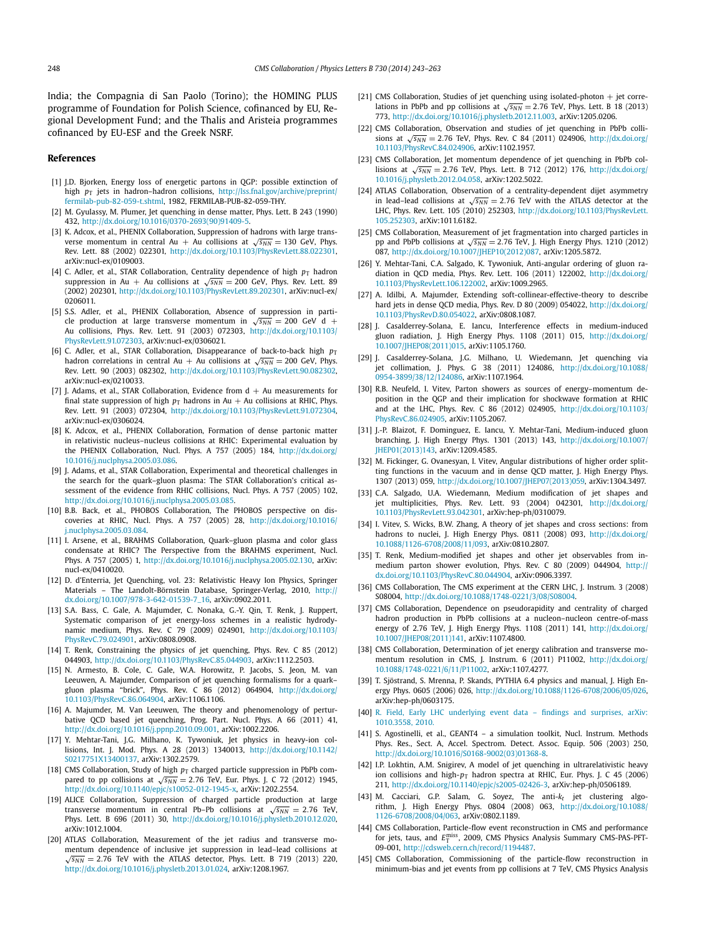<span id="page-5-0"></span>India; the Compagnia di San Paolo (Torino); the HOMING PLUS programme of Foundation for Polish Science, cofinanced by EU, Regional Development Fund; and the Thalis and Aristeia programmes cofinanced by EU-ESF and the Greek NSRF.

#### **References**

- [1] J.D. Bjorken, Energy loss of energetic partons in QGP: possible extinction of high  $p_T$  jets in hadron-hadron collisions, [http://lss.fnal.gov/archive/preprint/](http://lss.fnal.gov/archive/preprint/fermilab-pub-82-059-t.shtml) [fermilab-pub-82-059-t.shtml](http://lss.fnal.gov/archive/preprint/fermilab-pub-82-059-t.shtml), 1982, FERMILAB-PUB-82-059-THY.
- [2] M. Gyulassy, M. Plumer, Jet quenching in dense matter, Phys. Lett. B 243 (1990) 432, [http://dx.doi.org/10.1016/0370-2693\(90\)91409-5](http://dx.doi.org/10.1016/0370-2693(90)91409-5).
- [3] K. Adcox, et al., PHENIX Collaboration, Suppression of hadrons with large transverse momentum in central Au + Au collisions at  $\sqrt{s_{NN}} = 130$  GeV, Phys. Rev. Lett. 88 (2002) 022301, <http://dx.doi.org/10.1103/PhysRevLett.88.022301>, arXiv:nucl-ex/0109003.
- [4] C. Adler, et al., STAR Collaboration, Centrality dependence of high  $p_T$  hadron suppression in Au + Au collisions at  $\sqrt{s_{NN}}$  = 200 GeV, Phys. Rev. Lett. 89 (2002) 202301, <http://dx.doi.org/10.1103/PhysRevLett.89.202301>, arXiv:nucl-ex/ 0206011.
- [5] S.S. Adler, et al., PHENIX Collaboration, Absence of suppression in particle production at large transverse momentum in  $\sqrt{s_{NN}} = 200$  GeV d + Au collisions, Phys. Rev. Lett. 91 (2003) 072303, [http://dx.doi.org/10.1103/](http://dx.doi.org/10.1103/PhysRevLett.91.072303) [PhysRevLett.91.072303,](http://dx.doi.org/10.1103/PhysRevLett.91.072303) arXiv:nucl-ex/0306021.
- [6] C. Adler, et al., STAR Collaboration, Disappearance of back-to-back high  $p_T$ hadron correlations in central Au + Au collisions at  $\sqrt{s_{NN}}$  = 200 GeV, Phys. Rev. Lett. 90 (2003) 082302, <http://dx.doi.org/10.1103/PhysRevLett.90.082302>, arXiv:nucl-ex/0210033.
- [7] J. Adams, et al., STAR Collaboration, Evidence from  $d + Au$  measurements for final state suppression of high  $p<sub>T</sub>$  hadrons in Au + Au collisions at RHIC. Phys. Rev. Lett. 91 (2003) 072304, <http://dx.doi.org/10.1103/PhysRevLett.91.072304>, arXiv:nucl-ex/0306024.
- [8] K. Adcox, et al., PHENIX Collaboration, Formation of dense partonic matter in relativistic nucleus–nucleus collisions at RHIC: Experimental evaluation by the PHENIX Collaboration, Nucl. Phys. A 757 (2005) 184, [http://dx.doi.org/](http://dx.doi.org/10.1016/j.nuclphysa.2005.03.086) [10.1016/j.nuclphysa.2005.03.086](http://dx.doi.org/10.1016/j.nuclphysa.2005.03.086).
- [9] J. Adams, et al., STAR Collaboration, Experimental and theoretical challenges in the search for the quark–gluon plasma: The STAR Collaboration's critical assessment of the evidence from RHIC collisions, Nucl. Phys. A 757 (2005) 102, [http://dx.doi.org/10.1016/j.nuclphysa.2005.03.085.](http://dx.doi.org/10.1016/j.nuclphysa.2005.03.085)
- [10] B.B. Back, et al., PHOBOS Collaboration, The PHOBOS perspective on discoveries at RHIC, Nucl. Phys. A 757 (2005) 28, [http://dx.doi.org/10.1016/](http://dx.doi.org/10.1016/j.nuclphysa.2005.03.084) [j.nuclphysa.2005.03.084](http://dx.doi.org/10.1016/j.nuclphysa.2005.03.084).
- [11] I. Arsene, et al., BRAHMS Collaboration, Quark–gluon plasma and color glass condensate at RHIC? The Perspective from the BRAHMS experiment, Nucl. Phys. A 757 (2005) 1, [http://dx.doi.org/10.1016/j.nuclphysa.2005.02.130,](http://dx.doi.org/10.1016/j.nuclphysa.2005.02.130) arXiv: nucl-ex/0410020.
- [12] D. d'Enterria, Jet Quenching, vol. 23: Relativistic Heavy Ion Physics, Springer Materials – The Landolt-Börnstein Database, Springer-Verlag, 2010, [http://](http://dx.doi.org/10.1007/978-3-642-01539-7_16) [dx.doi.org/10.1007/978-3-642-01539-7\\_16](http://dx.doi.org/10.1007/978-3-642-01539-7_16), arXiv:0902.2011.
- [13] S.A. Bass, C. Gale, A. Majumder, C. Nonaka, G.-Y. Qin, T. Renk, J. Ruppert, Systematic comparison of jet energy-loss schemes in a realistic hydrodynamic medium, Phys. Rev. C 79 (2009) 024901, [http://dx.doi.org/10.1103/](http://dx.doi.org/10.1103/PhysRevC.79.024901) [PhysRevC.79.024901,](http://dx.doi.org/10.1103/PhysRevC.79.024901) arXiv:0808.0908.
- [14] T. Renk, Constraining the physics of jet quenching, Phys. Rev. C 85 (2012) 044903, [http://dx.doi.org/10.1103/PhysRevC.85.044903,](http://dx.doi.org/10.1103/PhysRevC.85.044903) arXiv:1112.2503.
- [15] N. Armesto, B. Cole, C. Gale, W.A. Horowitz, P. Jacobs, S. Jeon, M. van Leeuwen, A. Majumder, Comparison of jet quenching formalisms for a quark– gluon plasma "brick", Phys. Rev. C 86 (2012) 064904, [http://dx.doi.org/](http://dx.doi.org/10.1103/PhysRevC.86.064904) [10.1103/PhysRevC.86.064904](http://dx.doi.org/10.1103/PhysRevC.86.064904), arXiv:1106.1106.
- [16] A. Majumder, M. Van Leeuwen, The theory and phenomenology of perturbative QCD based jet quenching, Prog. Part. Nucl. Phys. A 66 (2011) 41, <http://dx.doi.org/10.1016/j.ppnp.2010.09.001>, arXiv:1002.2206.
- [17] Y. Mehtar-Tani, J.G. Milhano, K. Tywoniuk, Jet physics in heavy-ion collisions, Int. J. Mod. Phys. A 28 (2013) 1340013, [http://dx.doi.org/10.1142/](http://dx.doi.org/10.1142/S0217751X13400137) [S0217751X13400137](http://dx.doi.org/10.1142/S0217751X13400137), arXiv:1302.2579.
- [18] CMS Collaboration, Study of high  $p_T$  charged particle suppression in PbPb compared to pp collisions at  $\sqrt{s_{NN}}$  = 2.76 TeV, Eur. Phys. J. C 72 (2012) 1945, <http://dx.doi.org/10.1140/epjc/s10052-012-1945-x>, arXiv:1202.2554.
- [19] ALICE Collaboration, Suppression of charged particle production at large transverse momentum in central Pb–Pb collisions at  $\sqrt{s_{NN}} = 2.76$  TeV, Phys. Lett. B 696 (2011) 30, <http://dx.doi.org/10.1016/j.physletb.2010.12.020>, arXiv:1012.1004.
- [20] ATLAS Collaboration, Measurement of the jet radius and transverse momentum dependence of inclusive jet suppression in lead–lead collisions at  $\sqrt{s_{NN}}$  = 2.76 TeV with the ATLAS detector, Phys. Lett. B 719 (2013) 220, [http://dx.doi.org/10.1016/j.physletb.2013.01.024,](http://dx.doi.org/10.1016/j.physletb.2013.01.024) arXiv:1208.1967.
- [21] CMS Collaboration, Studies of jet quenching using isolated-photon + jet correlations in PbPb and pp collisions at  $\sqrt{s_{NN}}$  = 2.76 TeV, Phys. Lett. B 18 (2013) 773, <http://dx.doi.org/10.1016/j.physletb.2012.11.003>, arXiv:1205.0206.
- [22] CMS Collaboration, Observation and studies of jet quenching in PbPb collisions at  $\sqrt{s_{NN}}$  = 2.76 TeV, Phys. Rev. C 84 (2011) 024906, [http://dx.doi.org/](http://dx.doi.org/10.1103/PhysRevC.84.024906) [10.1103/PhysRevC.84.024906](http://dx.doi.org/10.1103/PhysRevC.84.024906), arXiv:1102.1957.
- [23] CMS Collaboration, Jet momentum dependence of jet quenching in PbPb collisions at  $\sqrt{s_{NN}}$  = 2.76 TeV, Phys. Lett. B 712 (2012) 176, [http://dx.doi.org/](http://dx.doi.org/10.1016/j.physletb.2012.04.058) [10.1016/j.physletb.2012.04.058,](http://dx.doi.org/10.1016/j.physletb.2012.04.058) arXiv:1202.5022.
- [24] ATLAS Collaboration, Observation of a centrality-dependent dijet asymmetry in lead–lead collisions at  $\sqrt{s_{NN}}$  = 2.76 TeV with the ATLAS detector at the LHC, Phys. Rev. Lett. 105 (2010) 252303, [http://dx.doi.org/10.1103/PhysRevLett.](http://dx.doi.org/10.1103/PhysRevLett.105.252303) [105.252303](http://dx.doi.org/10.1103/PhysRevLett.105.252303), arXiv:1011.6182.
- [25] CMS Collaboration, Measurement of jet fragmentation into charged particles in pp and PbPb collisions at  $\sqrt{s_{NN}}$  = 2.76 TeV, J. High Energy Phys. 1210 (2012) 087, [http://dx.doi.org/10.1007/JHEP10\(2012\)087](http://dx.doi.org/10.1007/JHEP10(2012)087), arXiv:1205.5872.
- [26] Y. Mehtar-Tani, C.A. Salgado, K. Tywoniuk, Anti-angular ordering of gluon radiation in QCD media, Phys. Rev. Lett. 106 (2011) 122002, [http://dx.doi.org/](http://dx.doi.org/10.1103/PhysRevLett.106.122002) [10.1103/PhysRevLett.106.122002](http://dx.doi.org/10.1103/PhysRevLett.106.122002), arXiv:1009.2965.
- [27] A. Idilbi, A. Majumder, Extending soft-collinear-effective-theory to describe hard jets in dense QCD media, Phys. Rev. D 80 (2009) 054022, [http://dx.doi.org/](http://dx.doi.org/10.1103/PhysRevD.80.054022) [10.1103/PhysRevD.80.054022,](http://dx.doi.org/10.1103/PhysRevD.80.054022) arXiv:0808.1087.
- [28] J. Casalderrey-Solana, E. Iancu, Interference effects in medium-induced gluon radiation, J. High Energy Phys. 1108 (2011) 015, [http://dx.doi.org/](http://dx.doi.org/10.1007/JHEP08(2011)015) [10.1007/JHEP08\(2011\)015,](http://dx.doi.org/10.1007/JHEP08(2011)015) arXiv:1105.1760.
- [29] J. Casalderrey-Solana, J.G. Milhano, U. Wiedemann, Jet quenching via jet collimation, J. Phys. G 38 (2011) 124086, [http://dx.doi.org/10.1088/](http://dx.doi.org/10.1088/0954-3899/38/12/124086) [0954-3899/38/12/124086](http://dx.doi.org/10.1088/0954-3899/38/12/124086), arXiv:1107.1964.
- [30] R.B. Neufeld, I. Vitev, Parton showers as sources of energy–momentum deposition in the QGP and their implication for shockwave formation at RHIC and at the LHC, Phys. Rev. C 86 (2012) 024905, [http://dx.doi.org/10.1103/](http://dx.doi.org/10.1103/PhysRevC.86.024905) [PhysRevC.86.024905,](http://dx.doi.org/10.1103/PhysRevC.86.024905) arXiv:1105.2067.
- [31] J.-P. Blaizot, F. Dominguez, E. Iancu, Y. Mehtar-Tani, Medium-induced gluon branching, J. High Energy Phys. 1301 (2013) 143, [http://dx.doi.org/10.1007/](http://dx.doi.org/10.1007/JHEP01(2013)143) [JHEP01\(2013\)143](http://dx.doi.org/10.1007/JHEP01(2013)143), arXiv:1209.4585.
- [32] M. Fickinger, G. Ovanesyan, I. Vitev, Angular distributions of higher order splitting functions in the vacuum and in dense QCD matter, J. High Energy Phys. 1307 (2013) 059, [http://dx.doi.org/10.1007/JHEP07\(2013\)059,](http://dx.doi.org/10.1007/JHEP07(2013)059) arXiv:1304.3497.
- [33] C.A. Salgado, U.A. Wiedemann, Medium modification of jet shapes and jet multiplicities, Phys. Rev. Lett. 93 (2004) 042301, [http://dx.doi.org/](http://dx.doi.org/10.1103/PhysRevLett.93.042301) [10.1103/PhysRevLett.93.042301](http://dx.doi.org/10.1103/PhysRevLett.93.042301), arXiv:hep-ph/0310079.
- [34] I. Vitev, S. Wicks, B.W. Zhang, A theory of jet shapes and cross sections: from hadrons to nuclei, J. High Energy Phys. 0811 (2008) 093, [http://dx.doi.org/](http://dx.doi.org/10.1088/1126-6708/2008/11/093) [10.1088/1126-6708/2008/11/093,](http://dx.doi.org/10.1088/1126-6708/2008/11/093) arXiv:0810.2807.
- [35] T. Renk, Medium-modified jet shapes and other jet observables from inmedium parton shower evolution, Phys. Rev. C 80 (2009) 044904, [http://](http://dx.doi.org/10.1103/PhysRevC.80.044904) [dx.doi.org/10.1103/PhysRevC.80.044904,](http://dx.doi.org/10.1103/PhysRevC.80.044904) arXiv:0906.3397.
- [36] CMS Collaboration, The CMS experiment at the CERN LHC, J. Instrum. 3 (2008) S08004, <http://dx.doi.org/10.1088/1748-0221/3/08/S08004>.
- [37] CMS Collaboration, Dependence on pseudorapidity and centrality of charged hadron production in PbPb collisions at a nucleon–nucleon centre-of-mass energy of 2.76 TeV, J. High Energy Phys. 1108 (2011) 141, [http://dx.doi.org/](http://dx.doi.org/10.1007/JHEP08(2011)141) [10.1007/JHEP08\(2011\)141,](http://dx.doi.org/10.1007/JHEP08(2011)141) arXiv:1107.4800.
- [38] CMS Collaboration, Determination of jet energy calibration and transverse momentum resolution in CMS, J. Instrum. 6 (2011) P11002, [http://dx.doi.org/](http://dx.doi.org/10.1088/1748-0221/6/11/P11002) [10.1088/1748-0221/6/11/P11002,](http://dx.doi.org/10.1088/1748-0221/6/11/P11002) arXiv:1107.4277.
- [39] T. Sjöstrand, S. Mrenna, P. Skands, PYTHIA 6.4 physics and manual, J. High Energy Phys. 0605 (2006) 026, <http://dx.doi.org/10.1088/1126-6708/2006/05/026>, arXiv:hep-ph/0603175.
- [40] R. Field, Early LHC underlying event data findings and surprises, arXiv: [1010.3558, 2010.](http://refhub.elsevier.com/S0370-2693(14)00064-1/bib4669656C64s1)
- [41] S. Agostinelli, et al., GEANT4 a simulation toolkit, Nucl. Instrum. Methods Phys. Res., Sect. A, Accel. Spectrom. Detect. Assoc. Equip. 506 (2003) 250, [http://dx.doi.org/10.1016/S0168-9002\(03\)01368-8](http://dx.doi.org/10.1016/S0168-9002(03)01368-8).
- [42] I.P. Lokhtin, A.M. Snigirev, A model of jet quenching in ultrarelativistic heavy ion collisions and high- $p<sub>T</sub>$  hadron spectra at RHIC, Eur. Phys. J. C 45 (2006) 211, [http://dx.doi.org/10.1140/epjc/s2005-02426-3,](http://dx.doi.org/10.1140/epjc/s2005-02426-3) arXiv:hep-ph/0506189.
- [43] M. Cacciari, G.P. Salam, G. Soyez, The anti-*kt* jet clustering algorithm, J. High Energy Phys. 0804 (2008) 063, [http://dx.doi.org/10.1088/](http://dx.doi.org/10.1088/1126-6708/2008/04/063) [1126-6708/2008/04/063](http://dx.doi.org/10.1088/1126-6708/2008/04/063), arXiv:0802.1189.
- [44] CMS Collaboration, Particle-flow event reconstruction in CMS and performance for jets, taus, and  $E_{\text{T}}^{\text{miss}}$ , 2009, CMS Physics Analysis Summary CMS-PAS-PFT-09-001, [http://cdsweb.cern.ch/record/1194487.](http://cdsweb.cern.ch/record/1194487)
- [45] CMS Collaboration, Commissioning of the particle-flow reconstruction in minimum-bias and jet events from pp collisions at 7 TeV, CMS Physics Analysis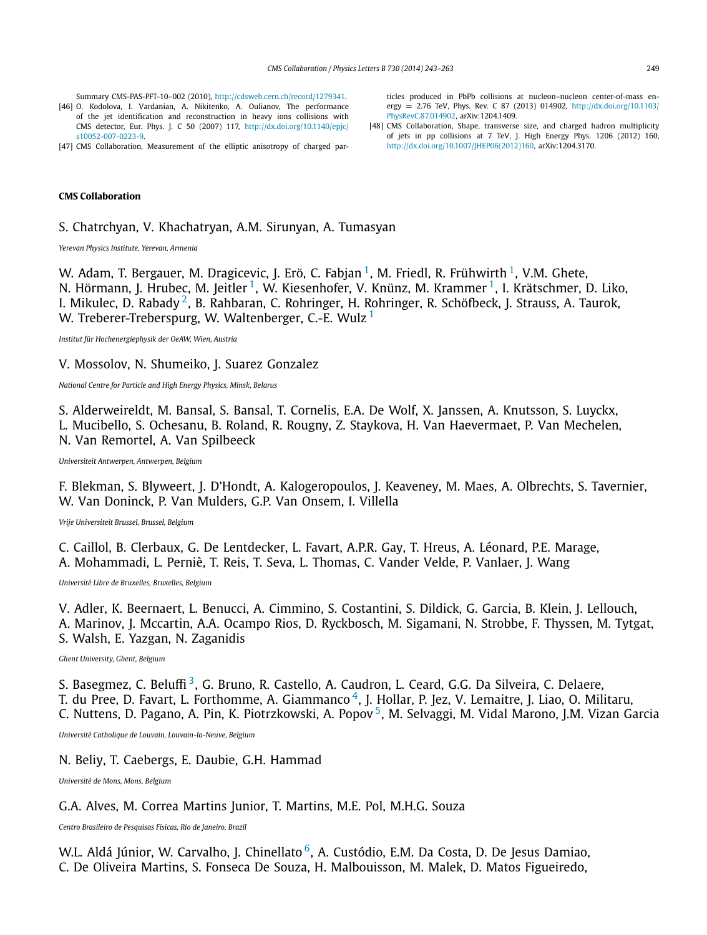<span id="page-6-0"></span>Summary CMS-PAS-PFT-10–002 (2010), <http://cdsweb.cern.ch/record/1279341>.

- [46] O. Kodolova, I. Vardanian, A. Nikitenko, A. Oulianov, The performance of the jet identification and reconstruction in heavy ions collisions with CMS detector, Eur. Phys. J. C 50 (2007) 117, [http://dx.doi.org/10.1140/epjc/](http://dx.doi.org/10.1140/epjc/s10052-007-0223-9) [s10052-007-0223-9.](http://dx.doi.org/10.1140/epjc/s10052-007-0223-9)
- [47] CMS Collaboration, Measurement of the elliptic anisotropy of charged par-

ticles produced in PbPb collisions at nucleon–nucleon center-of-mass energy = 2.76 TeV, Phys. Rev. C 87 (2013) 014902, [http://dx.doi.org/10.1103/](http://dx.doi.org/10.1103/PhysRevC.87.014902) [PhysRevC.87.014902](http://dx.doi.org/10.1103/PhysRevC.87.014902), arXiv:1204.1409.

[48] CMS Collaboration, Shape, transverse size, and charged hadron multiplicity of jets in pp collisions at 7 TeV, J. High Energy Phys. 1206 (2012) 160, [http://dx.doi.org/10.1007/JHEP06\(2012\)160,](http://dx.doi.org/10.1007/JHEP06(2012)160) arXiv:1204.3170.

### **CMS Collaboration**

# S. Chatrchyan, V. Khachatryan, A.M. Sirunyan, A. Tumasyan

*Yerevan Physics Institute, Yerevan, Armenia*

W. Adam, T. Bergauer, M. Dragicevic, J. Erö, C. Fabjan <sup>1</sup>, M. Friedl, R. Frühwirth <sup>1</sup>, V.M. Ghete, N. Hörmann, J. Hrubec, M. Jeitler <sup>1</sup>, W. Kiesenhofer, V. Knünz, M. Krammer <sup>1</sup>, I. Krätschmer, D. Liko, I. Mikulec, D. Rabady<sup>2</sup>, B. Rahbaran, C. Rohringer, H. Rohringer, R. Schöfbeck, J. Strauss, A. Taurok, W. Treberer-Treberspurg, W. Waltenberger, C.-E. Wulz<sup>[1](#page-19-0)</sup>

*Institut für Hochenergiephysik der OeAW, Wien, Austria*

V. Mossolov, N. Shumeiko, J. Suarez Gonzalez

*National Centre for Particle and High Energy Physics, Minsk, Belarus*

S. Alderweireldt, M. Bansal, S. Bansal, T. Cornelis, E.A. De Wolf, X. Janssen, A. Knutsson, S. Luyckx, L. Mucibello, S. Ochesanu, B. Roland, R. Rougny, Z. Staykova, H. Van Haevermaet, P. Van Mechelen, N. Van Remortel, A. Van Spilbeeck

*Universiteit Antwerpen, Antwerpen, Belgium*

F. Blekman, S. Blyweert, J. D'Hondt, A. Kalogeropoulos, J. Keaveney, M. Maes, A. Olbrechts, S. Tavernier, W. Van Doninck, P. Van Mulders, G.P. Van Onsem, I. Villella

*Vrije Universiteit Brussel, Brussel, Belgium*

C. Caillol, B. Clerbaux, G. De Lentdecker, L. Favart, A.P.R. Gay, T. Hreus, A. Léonard, P.E. Marage, A. Mohammadi, L. Perniè, T. Reis, T. Seva, L. Thomas, C. Vander Velde, P. Vanlaer, J. Wang

*Université Libre de Bruxelles, Bruxelles, Belgium*

V. Adler, K. Beernaert, L. Benucci, A. Cimmino, S. Costantini, S. Dildick, G. Garcia, B. Klein, J. Lellouch, A. Marinov, J. Mccartin, A.A. Ocampo Rios, D. Ryckbosch, M. Sigamani, N. Strobbe, F. Thyssen, M. Tytgat, S. Walsh, E. Yazgan, N. Zaganidis

*Ghent University, Ghent, Belgium*

S. Basegmez, C. Beluffi<sup>3</sup>, G. Bruno, R. Castello, A. Caudron, L. Ceard, G.G. Da Silveira, C. Delaere, T. du Pree, D. Favart, L. Forthomme, A. Giammanco<sup>4</sup>, J. Hollar, P. Jez, V. Lemaitre, J. Liao, O. Militaru, C. Nuttens, D. Pagano, A. Pin, K. Piotrzkowski, A. Popov<sup>5</sup>, M. Selvaggi, M. Vidal Marono, J.M. Vizan Garcia

*Université Catholique de Louvain, Louvain-la-Neuve, Belgium*

N. Beliy, T. Caebergs, E. Daubie, G.H. Hammad

*Université de Mons, Mons, Belgium*

G.A. Alves, M. Correa Martins Junior, T. Martins, M.E. Pol, M.H.G. Souza

*Centro Brasileiro de Pesquisas Fisicas, Rio de Janeiro, Brazil*

W.L. Aldá Júnior, W. Carvalho, J. Chinellato<sup>6</sup>, A. Custódio, E.M. Da Costa, D. De Jesus Damiao, C. De Oliveira Martins, S. Fonseca De Souza, H. Malbouisson, M. Malek, D. Matos Figueiredo,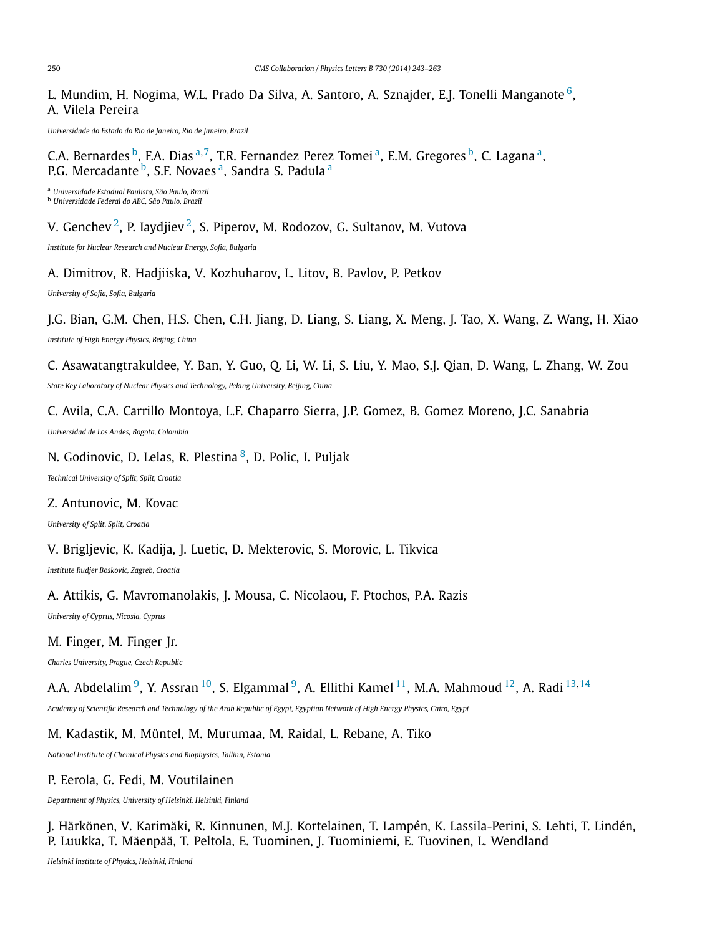# L. Mundim, H. Nogima, W.L. Prado Da Silva, A. Santoro, A. Sznajder, E.J. Tonelli Manganote<sup>6</sup>. A. Vilela Pereira

*Universidade do Estado do Rio de Janeiro, Rio de Janeiro, Brazil*

C.A. Bernardes <sup>b</sup>, F.A. Dias <sup>a, 7</sup>, T.R. Fernandez Perez Tomei <sup>a</sup>, E.M. Gregores <sup>b</sup>, C. Lagana <sup>a</sup>, P.G. Mercadante <sup>b</sup>, S.F. Novaes<sup>a</sup>, Sandra S. Padula a

<sup>a</sup> *Universidade Estadual Paulista, São Paulo, Brazil* <sup>b</sup> *Universidade Federal do ABC, São Paulo, Brazil*

# V. Genchev [2,](#page-19-0) P. Iaydjiev [2](#page-19-0), S. Piperov, M. Rodozov, G. Sultanov, M. Vutova

*Institute for Nuclear Research and Nuclear Energy, Sofia, Bulgaria*

# A. Dimitrov, R. Hadjiiska, V. Kozhuharov, L. Litov, B. Pavlov, P. Petkov

*University of Sofia, Sofia, Bulgaria*

J.G. Bian, G.M. Chen, H.S. Chen, C.H. Jiang, D. Liang, S. Liang, X. Meng, J. Tao, X. Wang, Z. Wang, H. Xiao *Institute of High Energy Physics, Beijing, China*

C. Asawatangtrakuldee, Y. Ban, Y. Guo, Q. Li, W. Li, S. Liu, Y. Mao, S.J. Qian, D. Wang, L. Zhang, W. Zou *State Key Laboratory of Nuclear Physics and Technology, Peking University, Beijing, China*

# C. Avila, C.A. Carrillo Montoya, L.F. Chaparro Sierra, J.P. Gomez, B. Gomez Moreno, J.C. Sanabria

*Universidad de Los Andes, Bogota, Colombia*

# N. Godinovic, D. Lelas, R. Plestina <sup>8</sup>, D. Polic, I. Puljak

*Technical University of Split, Split, Croatia*

### Z. Antunovic, M. Kovac

*University of Split, Split, Croatia*

# V. Brigljevic, K. Kadija, J. Luetic, D. Mekterovic, S. Morovic, L. Tikvica

*Institute Rudjer Boskovic, Zagreb, Croatia*

# A. Attikis, G. Mavromanolakis, J. Mousa, C. Nicolaou, F. Ptochos, P.A. Razis

*University of Cyprus, Nicosia, Cyprus*

### M. Finger, M. Finger Jr.

*Charles University, Prague, Czech Republic*

A.A. Abdelalim [9,](#page-19-0) Y. Assran [10,](#page-19-0) S. Elgammal [9,](#page-19-0) A. Ellithi Kamel [11](#page-19-0), M.A. Mahmoud [12](#page-19-0), A. Radi [13](#page-19-0)*,*[14](#page-19-0)

*Academy of Scientific Research and Technology of the Arab Republic of Egypt, Egyptian Network of High Energy Physics, Cairo, Egypt*

# M. Kadastik, M. Müntel, M. Murumaa, M. Raidal, L. Rebane, A. Tiko

*National Institute of Chemical Physics and Biophysics, Tallinn, Estonia*

# P. Eerola, G. Fedi, M. Voutilainen

*Department of Physics, University of Helsinki, Helsinki, Finland*

J. Härkönen, V. Karimäki, R. Kinnunen, M.J. Kortelainen, T. Lampén, K. Lassila-Perini, S. Lehti, T. Lindén, P. Luukka, T. Mäenpää, T. Peltola, E. Tuominen, J. Tuominiemi, E. Tuovinen, L. Wendland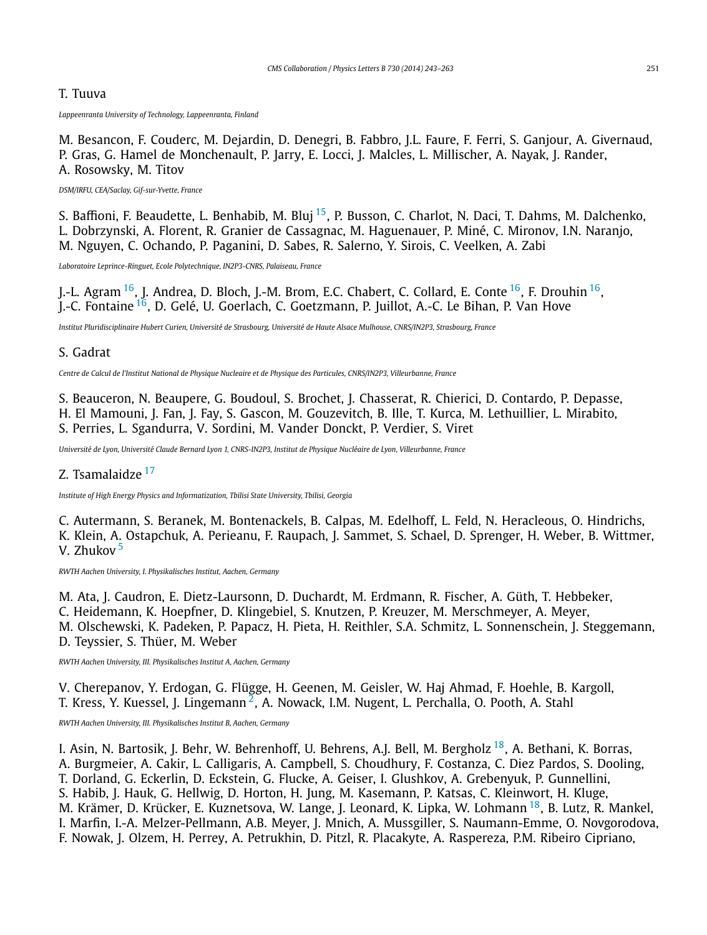# T. Tuuva

*Lappeenranta University of Technology, Lappeenranta, Finland*

M. Besancon, F. Couderc, M. Dejardin, D. Denegri, B. Fabbro, J.L. Faure, F. Ferri, S. Ganjour, A. Givernaud, P. Gras, G. Hamel de Monchenault, P. Jarry, E. Locci, J. Malcles, L. Millischer, A. Nayak, J. Rander, A. Rosowsky, M. Titov

*DSM/IRFU, CEA/Saclay, Gif-sur-Yvette, France*

S. Baffioni, F. Beaudette, L. Benhabib, M. Bluj <sup>15</sup>, P. Busson, C. Charlot, N. Daci, T. Dahms, M. Dalchenko, L. Dobrzynski, A. Florent, R. Granier de Cassagnac, M. Haguenauer, P. Miné, C. Mironov, I.N. Naranjo, M. Nguyen, C. Ochando, P. Paganini, D. Sabes, R. Salerno, Y. Sirois, C. Veelken, A. Zabi

*Laboratoire Leprince-Ringuet, Ecole Polytechnique, IN2P3-CNRS, Palaiseau, France*

J.-L. Agram  $^{16}$ , J. Andrea, D. Bloch, J.-M. Brom, E.C. Chabert, C. Collard, E. Conte  $^{16}$ , F. Drouhin  $^{16}$ , J.-C. Fontaine [16,](#page-19-0) D. Gelé, U. Goerlach, C. Goetzmann, P. Juillot, A.-C. Le Bihan, P. Van Hove

*Institut Pluridisciplinaire Hubert Curien, Université de Strasbourg, Université de Haute Alsace Mulhouse, CNRS/IN2P3, Strasbourg, France*

# S. Gadrat

*Centre de Calcul de l'Institut National de Physique Nucleaire et de Physique des Particules, CNRS/IN2P3, Villeurbanne, France*

S. Beauceron, N. Beaupere, G. Boudoul, S. Brochet, J. Chasserat, R. Chierici, D. Contardo, P. Depasse, H. El Mamouni, J. Fan, J. Fay, S. Gascon, M. Gouzevitch, B. Ille, T. Kurca, M. Lethuillier, L. Mirabito, S. Perries, L. Sgandurra, V. Sordini, M. Vander Donckt, P. Verdier, S. Viret

*Université de Lyon, Université Claude Bernard Lyon 1, CNRS-IN2P3, Institut de Physique Nucléaire de Lyon, Villeurbanne, France*

# Z. Tsamalaidze<sup>[17](#page-20-0)</sup>

*Institute of High Energy Physics and Informatization, Tbilisi State University, Tbilisi, Georgia*

C. Autermann, S. Beranek, M. Bontenackels, B. Calpas, M. Edelhoff, L. Feld, N. Heracleous, O. Hindrichs, K. Klein, A. Ostapchuk, A. Perieanu, F. Raupach, J. Sammet, S. Schael, D. Sprenger, H. Weber, B. Wittmer, V. Zhukov [5](#page-19-0)

*RWTH Aachen University, I. Physikalisches Institut, Aachen, Germany*

M. Ata, J. Caudron, E. Dietz-Laursonn, D. Duchardt, M. Erdmann, R. Fischer, A. Güth, T. Hebbeker, C. Heidemann, K. Hoepfner, D. Klingebiel, S. Knutzen, P. Kreuzer, M. Merschmeyer, A. Meyer, M. Olschewski, K. Padeken, P. Papacz, H. Pieta, H. Reithler, S.A. Schmitz, L. Sonnenschein, J. Steggemann, D. Teyssier, S. Thüer, M. Weber

*RWTH Aachen University, III. Physikalisches Institut A, Aachen, Germany*

V. Cherepanov, Y. Erdogan, G. Flügge, H. Geenen, M. Geisler, W. Haj Ahmad, F. Hoehle, B. Kargoll, T. Kress, Y. Kuessel, J. Lingemann<sup>2</sup>, A. Nowack, I.M. Nugent, L. Perchalla, O. Pooth, A. Stahl

*RWTH Aachen University, III. Physikalisches Institut B, Aachen, Germany*

I. Asin, N. Bartosik, J. Behr, W. Behrenhoff, U. Behrens, A.J. Bell, M. Bergholz<sup>18</sup>, A. Bethani, K. Borras, A. Burgmeier, A. Cakir, L. Calligaris, A. Campbell, S. Choudhury, F. Costanza, C. Diez Pardos, S. Dooling, T. Dorland, G. Eckerlin, D. Eckstein, G. Flucke, A. Geiser, I. Glushkov, A. Grebenyuk, P. Gunnellini, S. Habib, J. Hauk, G. Hellwig, D. Horton, H. Jung, M. Kasemann, P. Katsas, C. Kleinwort, H. Kluge, M. Krämer, D. Krücker, E. Kuznetsova, W. Lange, J. Leonard, K. Lipka, W. Lohmann [18,](#page-20-0) B. Lutz, R. Mankel, I. Marfin, I.-A. Melzer-Pellmann, A.B. Meyer, J. Mnich, A. Mussgiller, S. Naumann-Emme, O. Novgorodova, F. Nowak, J. Olzem, H. Perrey, A. Petrukhin, D. Pitzl, R. Placakyte, A. Raspereza, P.M. Ribeiro Cipriano,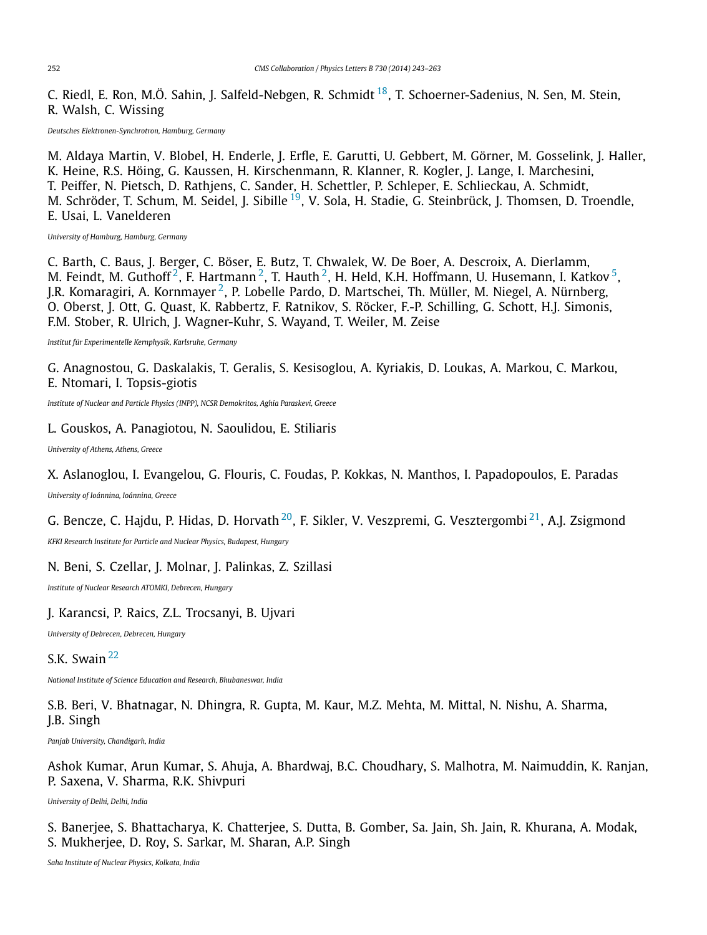C. Riedl, E. Ron, M.Ö. Sahin, J. Salfeld-Nebgen, R. Schmidt [18,](#page-20-0) T. Schoerner-Sadenius, N. Sen, M. Stein, R. Walsh, C. Wissing

*Deutsches Elektronen-Synchrotron, Hamburg, Germany*

M. Aldaya Martin, V. Blobel, H. Enderle, J. Erfle, E. Garutti, U. Gebbert, M. Görner, M. Gosselink, J. Haller, K. Heine, R.S. Höing, G. Kaussen, H. Kirschenmann, R. Klanner, R. Kogler, J. Lange, I. Marchesini, T. Peiffer, N. Pietsch, D. Rathjens, C. Sander, H. Schettler, P. Schleper, E. Schlieckau, A. Schmidt, M. Schröder, T. Schum, M. Seidel, J. Sibille <sup>19</sup>, V. Sola, H. Stadie, G. Steinbrück, J. Thomsen, D. Troendle, E. Usai, L. Vanelderen

*University of Hamburg, Hamburg, Germany*

C. Barth, C. Baus, J. Berger, C. Böser, E. Butz, T. Chwalek, W. De Boer, A. Descroix, A. Dierlamm, M. Feindt, M. Guthoff<sup>2</sup>, F. Hartmann<sup>2</sup>, T. Hauth<sup>2</sup>, H. Held, K.H. Hoffmann, U. Husemann, I. Katkov<sup>5</sup>, J.R. Komaragiri, A. Kornmayer [2,](#page-19-0) P. Lobelle Pardo, D. Martschei, Th. Müller, M. Niegel, A. Nürnberg, O. Oberst, J. Ott, G. Quast, K. Rabbertz, F. Ratnikov, S. Röcker, F.-P. Schilling, G. Schott, H.J. Simonis, F.M. Stober, R. Ulrich, J. Wagner-Kuhr, S. Wayand, T. Weiler, M. Zeise

*Institut für Experimentelle Kernphysik, Karlsruhe, Germany*

G. Anagnostou, G. Daskalakis, T. Geralis, S. Kesisoglou, A. Kyriakis, D. Loukas, A. Markou, C. Markou, E. Ntomari, I. Topsis-giotis

*Institute of Nuclear and Particle Physics (INPP), NCSR Demokritos, Aghia Paraskevi, Greece*

L. Gouskos, A. Panagiotou, N. Saoulidou, E. Stiliaris

*University of Athens, Athens, Greece*

X. Aslanoglou, I. Evangelou, G. Flouris, C. Foudas, P. Kokkas, N. Manthos, I. Papadopoulos, E. Paradas

*University of Ioánnina, Ioánnina, Greece*

G. Bencze, C. Hajdu, P. Hidas, D. Horvath  $20$ , F. Sikler, V. Veszpremi, G. Vesztergombi  $21$ , A.J. Zsigmond

*KFKI Research Institute for Particle and Nuclear Physics, Budapest, Hungary*

# N. Beni, S. Czellar, J. Molnar, J. Palinkas, Z. Szillasi

*Institute of Nuclear Research ATOMKI, Debrecen, Hungary*

# J. Karancsi, P. Raics, Z.L. Trocsanyi, B. Ujvari

*University of Debrecen, Debrecen, Hungary*

# S.K. Swain [22](#page-20-0)

*National Institute of Science Education and Research, Bhubaneswar, India*

S.B. Beri, V. Bhatnagar, N. Dhingra, R. Gupta, M. Kaur, M.Z. Mehta, M. Mittal, N. Nishu, A. Sharma, J.B. Singh

*Panjab University, Chandigarh, India*

Ashok Kumar, Arun Kumar, S. Ahuja, A. Bhardwaj, B.C. Choudhary, S. Malhotra, M. Naimuddin, K. Ranjan, P. Saxena, V. Sharma, R.K. Shivpuri

*University of Delhi, Delhi, India*

S. Banerjee, S. Bhattacharya, K. Chatterjee, S. Dutta, B. Gomber, Sa. Jain, Sh. Jain, R. Khurana, A. Modak, S. Mukherjee, D. Roy, S. Sarkar, M. Sharan, A.P. Singh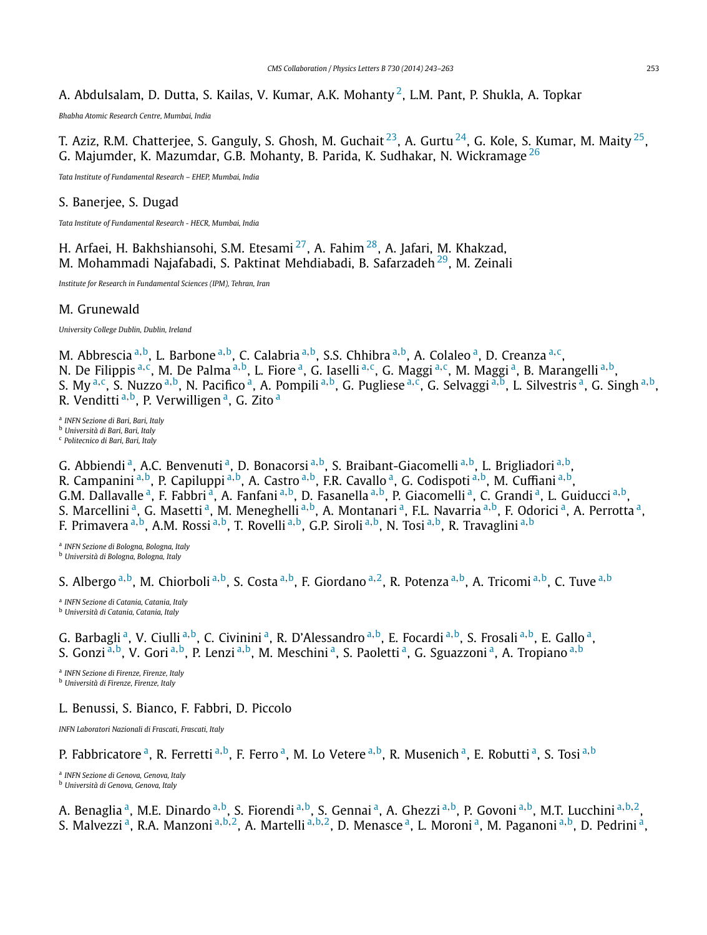*Bhabha Atomic Research Centre, Mumbai, India*

T. Aziz, R.M. Chatterjee, S. Ganguly, S. Ghosh, M. Guchait  $^{23}$ , A. Gurtu  $^{24}$ , G. Kole, S. Kumar, M. Maity  $^{25}$ , G. Majumder, K. Mazumdar, G.B. Mohanty, B. Parida, K. Sudhakar, N. Wickramage [26](#page-20-0)

*Tata Institute of Fundamental Research – EHEP, Mumbai, India*

# S. Banerjee, S. Dugad

*Tata Institute of Fundamental Research - HECR, Mumbai, India*

H. Arfaei, H. Bakhshiansohi, S.M. Etesami [27,](#page-20-0) A. Fahim [28,](#page-20-0) A. Jafari, M. Khakzad, M. Mohammadi Najafabadi, S. Paktinat Mehdiabadi, B. Safarzadeh [29](#page-20-0), M. Zeinali

*Institute for Research in Fundamental Sciences (IPM), Tehran, Iran*

# M. Grunewald

*University College Dublin, Dublin, Ireland*

M. Abbrescia <sup>a</sup>*,*b, L. Barbone <sup>a</sup>*,*b, C. Calabria <sup>a</sup>*,*b, S.S. Chhibra <sup>a</sup>*,*b, A. Colaleo a, D. Creanza <sup>a</sup>*,*c, N. De Filippis <sup>a</sup>*,*c, M. De Palma <sup>a</sup>*,*b, L. Fiore a, G. Iaselli <sup>a</sup>*,*c, G. Maggi <sup>a</sup>*,*c, M. Maggi a, B. Marangelli <sup>a</sup>*,*b, S. My <sup>a</sup>*,*c, S. Nuzzo <sup>a</sup>*,*b, N. Pacifico a, A. Pompili <sup>a</sup>*,*b, G. Pugliese <sup>a</sup>*,*c, G. Selvaggi <sup>a</sup>*,*b, L. Silvestris a, G. Singh <sup>a</sup>*,*b, R. Venditti a, b, P. Verwilligen a, G. Zito a

<sup>a</sup> *INFN Sezione di Bari, Bari, Italy* <sup>b</sup> *Università di Bari, Bari, Italy* <sup>c</sup> *Politecnico di Bari, Bari, Italy*

G. Abbiendi a, A.C. Benvenuti a, D. Bonacorsi <sup>a</sup>*,*b, S. Braibant-Giacomelli <sup>a</sup>*,*b, L. Brigliadori <sup>a</sup>*,*b, R. Campanini <sup>a</sup>*,*b, P. Capiluppi <sup>a</sup>*,*b, A. Castro <sup>a</sup>*,*b, F.R. Cavallo a, G. Codispoti <sup>a</sup>*,*b, M. Cuffiani <sup>a</sup>*,*b, G.M. Dallavalle a, F. Fabbri a, A. Fanfani <sup>a</sup>*,*b, D. Fasanella <sup>a</sup>*,*b, P. Giacomelli a, C. Grandi a, L. Guiducci <sup>a</sup>*,*b, S. Marcellini<sup>a</sup>, G. Masetti<sup>a</sup>, M. Meneghelli<sup>a, b</sup>, A. Montanari<sup>a</sup>, F.L. Navarria a, b, F. Odorici<sup>a</sup>, A. Perrotta<sup>a</sup>, F. Primavera <sup>a</sup>*,*b, A.M. Rossi <sup>a</sup>*,*b, T. Rovelli <sup>a</sup>*,*b, G.P. Siroli <sup>a</sup>*,*b, N. Tosi <sup>a</sup>*,*b, R. Travaglini <sup>a</sup>*,*<sup>b</sup>

<sup>a</sup> *INFN Sezione di Bologna, Bologna, Italy* <sup>b</sup> *Università di Bologna, Bologna, Italy*

S. Albergo <sup>a</sup>*,*b, M. Chiorboli <sup>a</sup>*,*b, S. Costa <sup>a</sup>*,*b, F. Giordano <sup>a</sup>*,*[2,](#page-19-0) R. Potenza <sup>a</sup>*,*b, A. Tricomi <sup>a</sup>*,*b, C. Tuve <sup>a</sup>*,*<sup>b</sup>

<sup>a</sup> *INFN Sezione di Catania, Catania, Italy* <sup>b</sup> *Università di Catania, Catania, Italy*

G. Barbagli a, V. Ciulli <sup>a</sup>*,*b, C. Civinini a, R. D'Alessandro <sup>a</sup>*,*b, E. Focardi <sup>a</sup>*,*b, S. Frosali <sup>a</sup>*,*b, E. Gallo a, S. Gonzi <sup>a</sup>*,*b, V. Gori <sup>a</sup>*,*b, P. Lenzi <sup>a</sup>*,*b, M. Meschini a, S. Paoletti a, G. Sguazzoni a, A. Tropiano <sup>a</sup>*,*<sup>b</sup>

<sup>a</sup> *INFN Sezione di Firenze, Firenze, Italy* <sup>b</sup> *Università di Firenze, Firenze, Italy*

L. Benussi, S. Bianco, F. Fabbri, D. Piccolo

*INFN Laboratori Nazionali di Frascati, Frascati, Italy*

P. Fabbricatore <sup>a</sup>, R. Ferretti a, b, F. Ferro <sup>a</sup>, M. Lo Vetere a, b, R. Musenich <sup>a</sup>, E. Robutti <sup>a</sup>, S. Tosi a, b

<sup>a</sup> *INFN Sezione di Genova, Genova, Italy*

<sup>b</sup> *Università di Genova, Genova, Italy*

A. Benaglia [a](#page-11-0), M.E. Dinardo [a](#page-11-0)*,*[b,](#page-11-0) S. Fiorendi [a](#page-11-0)*,*[b,](#page-11-0) S. Gennai [a,](#page-11-0) A. Ghezzi [a](#page-11-0)*,*[b,](#page-11-0) P. Govoni [a](#page-11-0)*,*[b,](#page-11-0) M.T. Lucchini [a](#page-11-0)*,*[b](#page-11-0)*,*[2,](#page-19-0) S. Malvezzi [a,](#page-11-0) R.A. Manzoni [a](#page-11-0)*,*[b](#page-11-0)*,*[2,](#page-19-0) A. Martelli [a](#page-11-0)*,*[b](#page-11-0)*,*[2,](#page-19-0) D. Menasce [a,](#page-11-0) L. Moroni [a](#page-11-0), M. Paganoni [a](#page-11-0)*,*[b,](#page-11-0) D. Pedrini [a,](#page-11-0)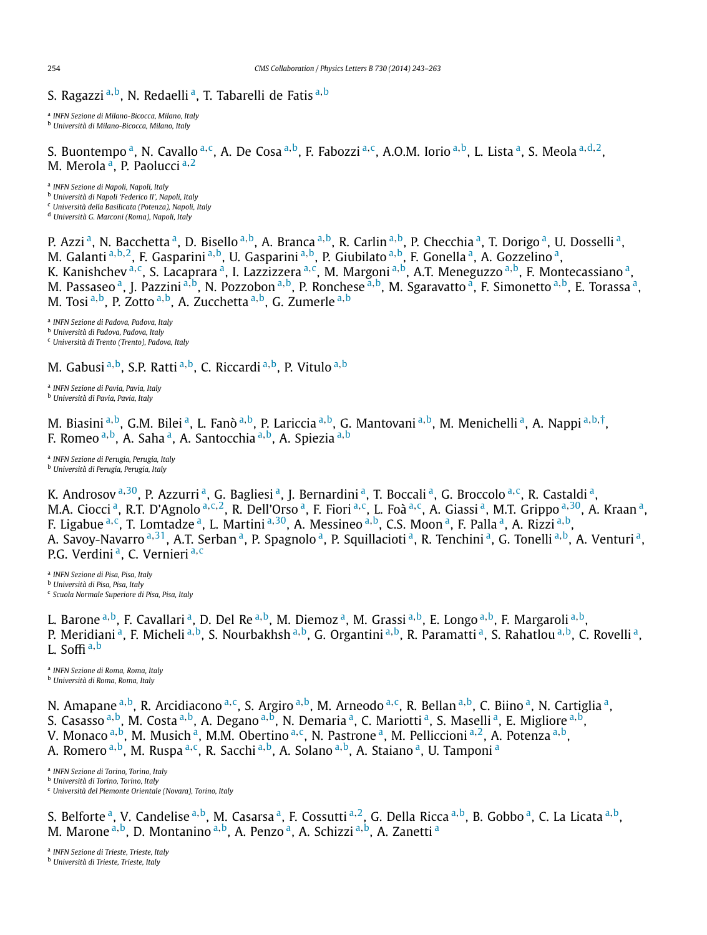# <span id="page-11-0"></span>S. Ragazzi <sup>a</sup>*,*b, N. Redaelli a, T. Tabarelli de Fatis <sup>a</sup>*,*<sup>b</sup>

<sup>a</sup> *INFN Sezione di Milano-Bicocca, Milano, Italy* <sup>b</sup> *Università di Milano-Bicocca, Milano, Italy*

S. Buontempo a, N. Cavallo <sup>a</sup>*,*c, A. De Cosa <sup>a</sup>*,*b, F. Fabozzi <sup>a</sup>*,*c, A.O.M. Iorio <sup>a</sup>*,*b, L. Lista a, S. Meola <sup>a</sup>*,*d*,*[2,](#page-19-0) M. Merola a, P. Paolucci <sup>a</sup>*,*[2](#page-19-0)

<sup>a</sup> *INFN Sezione di Napoli, Napoli, Italy*

<sup>b</sup> *Università di Napoli 'Federico II', Napoli, Italy*

<sup>c</sup> *Università della Basilicata (Potenza), Napoli, Italy*

<sup>d</sup> *Università G. Marconi (Roma), Napoli, Italy*

P. Azzi<sup>a</sup>, N. Bacchetta<sup>a</sup>, D. Bisello<sup>a,b</sup>, A. Branca<sup>a,b</sup>, R. Carlin<sup>a,b</sup>, P. Checchia<sup>a</sup>, T. Dorigo<sup>a</sup>, U. Dosselli<sup>a</sup>, M. Galanti <sup>a</sup>*,*b*,*[2,](#page-19-0) F. Gasparini <sup>a</sup>*,*b, U. Gasparini <sup>a</sup>*,*b, P. Giubilato <sup>a</sup>*,*b, F. Gonella a, A. Gozzelino a, K. Kanishchev <sup>a</sup>*,*c, S. Lacaprara a, I. Lazzizzera <sup>a</sup>*,*c, M. Margoni <sup>a</sup>*,*b, A.T. Meneguzzo <sup>a</sup>*,*b, F. Montecassiano a, M. Passaseo<sup>a</sup>, J. Pazzini<sup>a,b</sup>, N. Pozzobon<sup>a,b</sup>, P. Ronchese a<sup>,b</sup>, M. Sgaravatto a, F. Simonetto a,b, E. Torassa<sup>a</sup>, M. Tosi <sup>a</sup>*,*b, P. Zotto <sup>a</sup>*,*b, A. Zucchetta <sup>a</sup>*,*b, G. Zumerle <sup>a</sup>*,*<sup>b</sup>

<sup>a</sup> *INFN Sezione di Padova, Padova, Italy*

<sup>b</sup> *Università di Padova, Padova, Italy*

<sup>c</sup> *Università di Trento (Trento), Padova, Italy*

M. Gabusi <sup>a</sup>*,*b, S.P. Ratti <sup>a</sup>*,*b, C. Riccardi <sup>a</sup>*,*b, P. Vitulo <sup>a</sup>*,*<sup>b</sup>

<sup>a</sup> *INFN Sezione di Pavia, Pavia, Italy*

<sup>b</sup> *Università di Pavia, Pavia, Italy*

M. Biasini <sup>a</sup>*,*b, G.M. Bilei a, L. Fanò <sup>a</sup>*,*b, P. Lariccia <sup>a</sup>*,*b, G. Mantovani <sup>a</sup>*,*b, M. Menichelli a, A. Nappi <sup>a</sup>*,*b*,*[†,](#page-19-0) F. Romeo <sup>a</sup>*,*b, A. Saha a, A. Santocchia <sup>a</sup>*,*b, A. Spiezia <sup>a</sup>*,*<sup>b</sup>

<sup>a</sup> *INFN Sezione di Perugia, Perugia, Italy*

<sup>b</sup> *Università di Perugia, Perugia, Italy*

K. Androsov a, <sup>30</sup>, P. Azzurri <sup>a</sup>, G. Bagliesi <sup>a</sup>, J. Bernardini <sup>a</sup>, T. Boccali <sup>a</sup>, G. Broccolo a, c, R. Castaldi <sup>a</sup>, M.A. Ciocci<sup>a</sup>, R.T. D'Agnolo<sup>a,c,2</sup>, R. Dell'Orso<sup>a</sup>, F. Fiori<sup>a,c</sup>, L. Foà<sup>a,c</sup>, A. Giassi<sup>a</sup>, M.T. Grippo <sup>a,30</sup>, A. Kraan<sup>a</sup>, F. Ligabue <sup>a</sup>*,*c, T. Lomtadze a, L. Martini <sup>a</sup>*,*[30,](#page-20-0) A. Messineo <sup>a</sup>*,*b, C.S. Moon a, F. Palla a, A. Rizzi <sup>a</sup>*,*b, A. Savoy-Navarro a, [31,](#page-20-0) A.T. Serban <sup>a</sup>, P. Spagnolo <sup>a</sup>, P. Squillacioti <sup>a</sup>, R. Tenchini <sup>a</sup>, G. Tonelli a, b, A. Venturi a, P.G. Verdini a, C. Vernieri <sup>a</sup>*,*<sup>c</sup>

<sup>a</sup> *INFN Sezione di Pisa, Pisa, Italy*

<sup>b</sup> *Università di Pisa, Pisa, Italy*

<sup>c</sup> *Scuola Normale Superiore di Pisa, Pisa, Italy*

L. Barone a,b, F. Cavallari <sup>a</sup>, D. Del Re a,b, M. Diemoz <sup>a</sup>, M. Grassi a,b, E. Longo a,b, F. Margaroli a,b, P. Meridiani a, F. Micheli <sup>a</sup>*,*b, S. Nourbakhsh <sup>a</sup>*,*b, G. Organtini <sup>a</sup>*,*b, R. Paramatti a, S. Rahatlou <sup>a</sup>*,*b, C. Rovelli a, L. Soffi<sup>a,b</sup>

<sup>a</sup> *INFN Sezione di Roma, Roma, Italy* <sup>b</sup> *Università di Roma, Roma, Italy*

N. Amapane <sup>a</sup>*,*b, R. Arcidiacono <sup>a</sup>*,*c, S. Argiro <sup>a</sup>*,*b, M. Arneodo <sup>a</sup>*,*c, R. Bellan <sup>a</sup>*,*b, C. Biino a, N. Cartiglia a, S. Casasso <sup>a</sup>*,*b, M. Costa <sup>a</sup>*,*b, A. Degano <sup>a</sup>*,*b, N. Demaria a, C. Mariotti a, S. Maselli a, E. Migliore <sup>a</sup>*,*b, V. Monaco a, b, M. Musich a, M.M. Obertino a, c, N. Pastrone a, M. Pelliccioni a, [2,](#page-19-0) A. Potenza a, b, A. Romero <sup>a</sup>*,*b, M. Ruspa <sup>a</sup>*,*c, R. Sacchi <sup>a</sup>*,*b, A. Solano <sup>a</sup>*,*b, A. Staiano a, U. Tamponi <sup>a</sup>

<sup>a</sup> *INFN Sezione di Torino, Torino, Italy*

<sup>b</sup> *Università di Torino, Torino, Italy*

<sup>c</sup> *Università del Piemonte Orientale (Novara), Torino, Italy*

S. Belforte a, V. Candelise <sup>a</sup>*,*b, M. Casarsa a, F. Cossutti <sup>a</sup>*,*[2,](#page-19-0) G. Della Ricca <sup>a</sup>*,*b, B. Gobbo a, C. La Licata <sup>a</sup>*,*b, M. Marone <sup>a</sup>*,*b, D. Montanino <sup>a</sup>*,*b, A. Penzo a, A. Schizzi <sup>a</sup>*,*b, A. Zanetti <sup>a</sup>

<sup>a</sup> *INFN Sezione di Trieste, Trieste, Italy*

<sup>b</sup> *Università di Trieste, Trieste, Italy*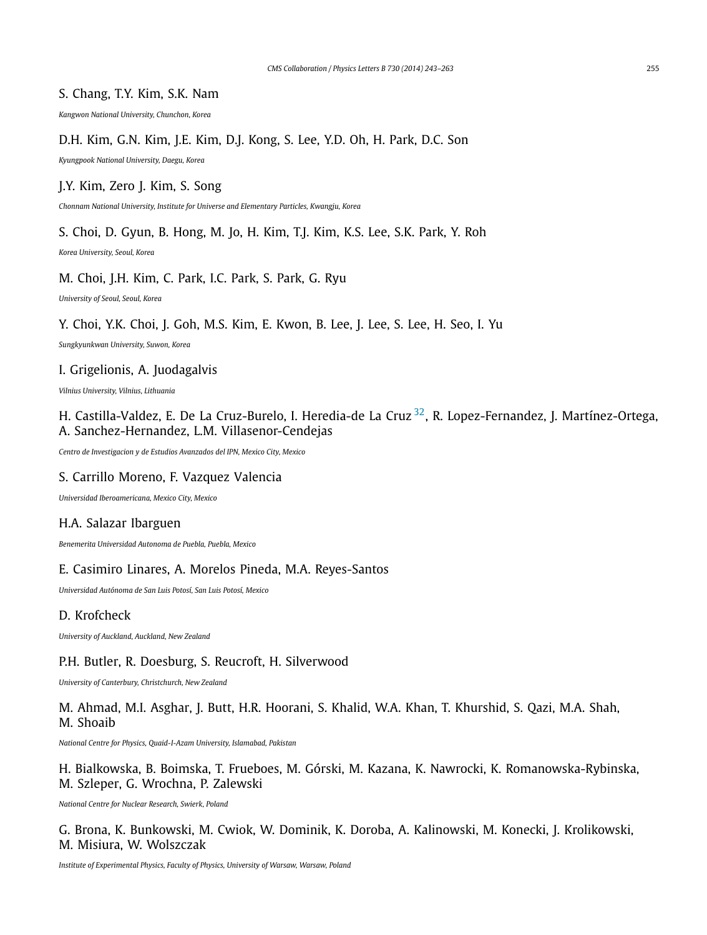# S. Chang, T.Y. Kim, S.K. Nam

*Kangwon National University, Chunchon, Korea*

# D.H. Kim, G.N. Kim, J.E. Kim, D.J. Kong, S. Lee, Y.D. Oh, H. Park, D.C. Son

*Kyungpook National University, Daegu, Korea*

# J.Y. Kim, Zero J. Kim, S. Song

*Chonnam National University, Institute for Universe and Elementary Particles, Kwangju, Korea*

### S. Choi, D. Gyun, B. Hong, M. Jo, H. Kim, T.J. Kim, K.S. Lee, S.K. Park, Y. Roh

*Korea University, Seoul, Korea*

# M. Choi, J.H. Kim, C. Park, I.C. Park, S. Park, G. Ryu

*University of Seoul, Seoul, Korea*

# Y. Choi, Y.K. Choi, J. Goh, M.S. Kim, E. Kwon, B. Lee, J. Lee, S. Lee, H. Seo, I. Yu

*Sungkyunkwan University, Suwon, Korea*

# I. Grigelionis, A. Juodagalvis

*Vilnius University, Vilnius, Lithuania*

# H. Castilla-Valdez, E. De La Cruz-Burelo, I. Heredia-de La Cruz<sup>32</sup>, R. Lopez-Fernandez, J. Martínez-Ortega, A. Sanchez-Hernandez, L.M. Villasenor-Cendejas

*Centro de Investigacion y de Estudios Avanzados del IPN, Mexico City, Mexico*

# S. Carrillo Moreno, F. Vazquez Valencia

*Universidad Iberoamericana, Mexico City, Mexico*

# H.A. Salazar Ibarguen

*Benemerita Universidad Autonoma de Puebla, Puebla, Mexico*

# E. Casimiro Linares, A. Morelos Pineda, M.A. Reyes-Santos

*Universidad Autónoma de San Luis Potosí, San Luis Potosí, Mexico*

# D. Krofcheck

*University of Auckland, Auckland, New Zealand*

# P.H. Butler, R. Doesburg, S. Reucroft, H. Silverwood

*University of Canterbury, Christchurch, New Zealand*

# M. Ahmad, M.I. Asghar, J. Butt, H.R. Hoorani, S. Khalid, W.A. Khan, T. Khurshid, S. Qazi, M.A. Shah, M. Shoaib

*National Centre for Physics, Quaid-I-Azam University, Islamabad, Pakistan*

# H. Bialkowska, B. Boimska, T. Frueboes, M. Górski, M. Kazana, K. Nawrocki, K. Romanowska-Rybinska, M. Szleper, G. Wrochna, P. Zalewski

*National Centre for Nuclear Research, Swierk, Poland*

G. Brona, K. Bunkowski, M. Cwiok, W. Dominik, K. Doroba, A. Kalinowski, M. Konecki, J. Krolikowski, M. Misiura, W. Wolszczak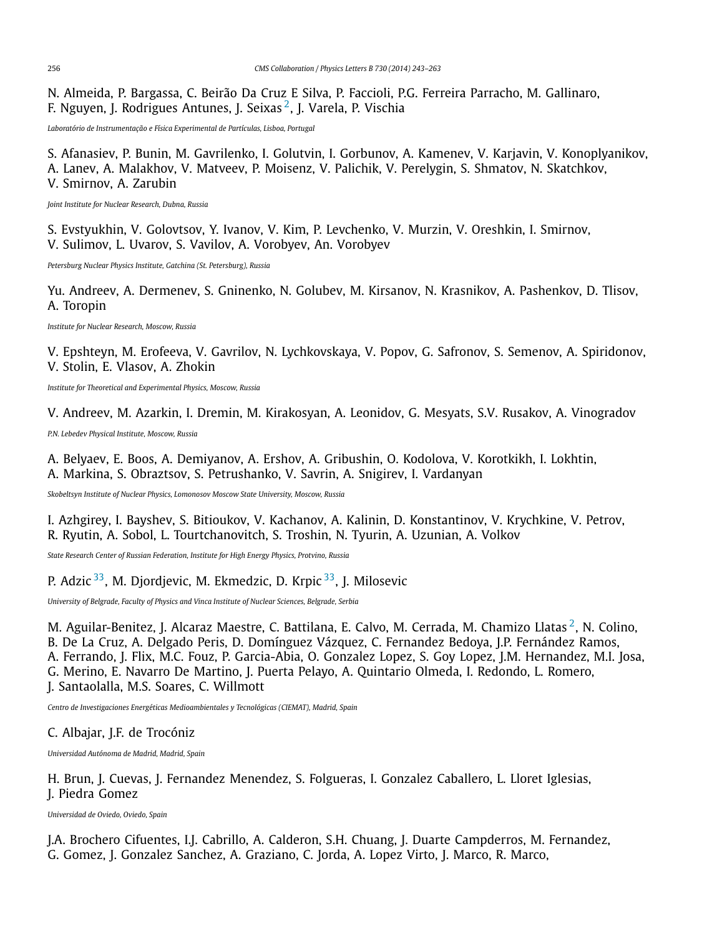N. Almeida, P. Bargassa, C. Beirão Da Cruz E Silva, P. Faccioli, P.G. Ferreira Parracho, M. Gallinaro, F. Nguyen, J. Rodrigues Antunes, J. Seixas [2,](#page-19-0) J. Varela, P. Vischia

*Laboratório de Instrumentação e Física Experimental de Partículas, Lisboa, Portugal*

S. Afanasiev, P. Bunin, M. Gavrilenko, I. Golutvin, I. Gorbunov, A. Kamenev, V. Karjavin, V. Konoplyanikov, A. Lanev, A. Malakhov, V. Matveev, P. Moisenz, V. Palichik, V. Perelygin, S. Shmatov, N. Skatchkov, V. Smirnov, A. Zarubin

*Joint Institute for Nuclear Research, Dubna, Russia*

S. Evstyukhin, V. Golovtsov, Y. Ivanov, V. Kim, P. Levchenko, V. Murzin, V. Oreshkin, I. Smirnov, V. Sulimov, L. Uvarov, S. Vavilov, A. Vorobyev, An. Vorobyev

*Petersburg Nuclear Physics Institute, Gatchina (St. Petersburg), Russia*

Yu. Andreev, A. Dermenev, S. Gninenko, N. Golubev, M. Kirsanov, N. Krasnikov, A. Pashenkov, D. Tlisov, A. Toropin

*Institute for Nuclear Research, Moscow, Russia*

V. Epshteyn, M. Erofeeva, V. Gavrilov, N. Lychkovskaya, V. Popov, G. Safronov, S. Semenov, A. Spiridonov, V. Stolin, E. Vlasov, A. Zhokin

*Institute for Theoretical and Experimental Physics, Moscow, Russia*

V. Andreev, M. Azarkin, I. Dremin, M. Kirakosyan, A. Leonidov, G. Mesyats, S.V. Rusakov, A. Vinogradov

*P.N. Lebedev Physical Institute, Moscow, Russia*

A. Belyaev, E. Boos, A. Demiyanov, A. Ershov, A. Gribushin, O. Kodolova, V. Korotkikh, I. Lokhtin, A. Markina, S. Obraztsov, S. Petrushanko, V. Savrin, A. Snigirev, I. Vardanyan

*Skobeltsyn Institute of Nuclear Physics, Lomonosov Moscow State University, Moscow, Russia*

I. Azhgirey, I. Bayshev, S. Bitioukov, V. Kachanov, A. Kalinin, D. Konstantinov, V. Krychkine, V. Petrov, R. Ryutin, A. Sobol, L. Tourtchanovitch, S. Troshin, N. Tyurin, A. Uzunian, A. Volkov

*State Research Center of Russian Federation, Institute for High Energy Physics, Protvino, Russia*

P. Adzic <sup>33</sup>, M. Djordjevic, M. Ekmedzic, D. Krpic <sup>33</sup>, J. Milosevic

*University of Belgrade, Faculty of Physics and Vinca Institute of Nuclear Sciences, Belgrade, Serbia*

M. Aguilar-Benitez, J. Alcaraz Maestre, C. Battilana, E. Calvo, M. Cerrada, M. Chamizo Llatas<sup>2</sup>, N. Colino, B. De La Cruz, A. Delgado Peris, D. Domínguez Vázquez, C. Fernandez Bedoya, J.P. Fernández Ramos, A. Ferrando, J. Flix, M.C. Fouz, P. Garcia-Abia, O. Gonzalez Lopez, S. Goy Lopez, J.M. Hernandez, M.I. Josa, G. Merino, E. Navarro De Martino, J. Puerta Pelayo, A. Quintario Olmeda, I. Redondo, L. Romero, J. Santaolalla, M.S. Soares, C. Willmott

*Centro de Investigaciones Energéticas Medioambientales y Tecnológicas (CIEMAT), Madrid, Spain*

### C. Albajar, J.F. de Trocóniz

*Universidad Autónoma de Madrid, Madrid, Spain*

H. Brun, J. Cuevas, J. Fernandez Menendez, S. Folgueras, I. Gonzalez Caballero, L. Lloret Iglesias, J. Piedra Gomez

*Universidad de Oviedo, Oviedo, Spain*

J.A. Brochero Cifuentes, I.J. Cabrillo, A. Calderon, S.H. Chuang, J. Duarte Campderros, M. Fernandez, G. Gomez, J. Gonzalez Sanchez, A. Graziano, C. Jorda, A. Lopez Virto, J. Marco, R. Marco,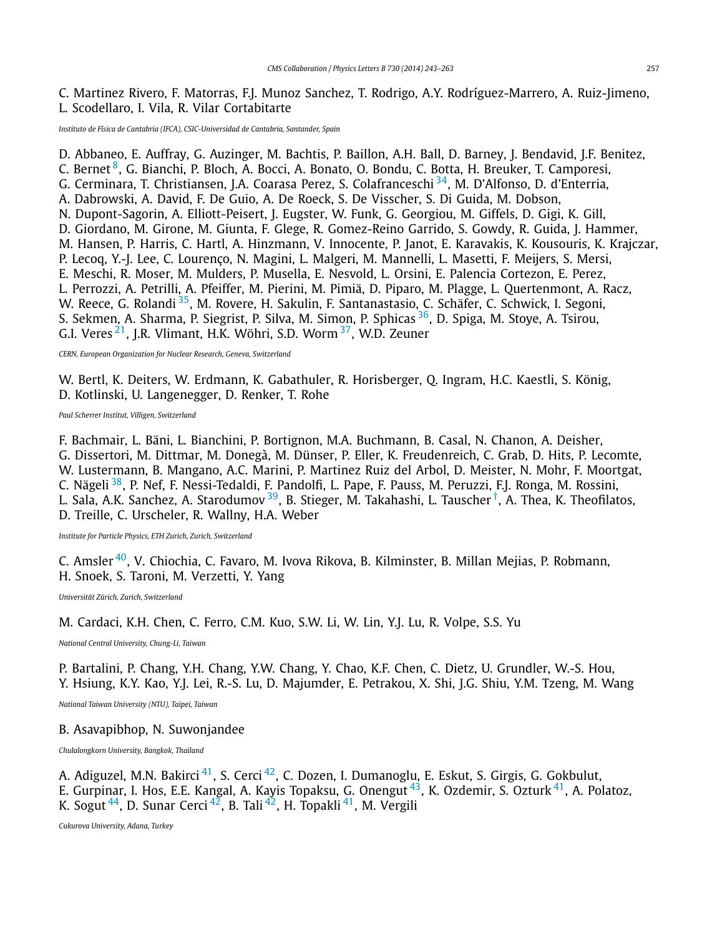C. Martinez Rivero, F. Matorras, F.J. Munoz Sanchez, T. Rodrigo, A.Y. Rodríguez-Marrero, A. Ruiz-Jimeno, L. Scodellaro, I. Vila, R. Vilar Cortabitarte

*Instituto de Física de Cantabria (IFCA), CSIC-Universidad de Cantabria, Santander, Spain*

D. Abbaneo, E. Auffray, G. Auzinger, M. Bachtis, P. Baillon, A.H. Ball, D. Barney, J. Bendavid, J.F. Benitez, C. Bernet <sup>8</sup>, G. Bianchi, P. Bloch, A. Bocci, A. Bonato, O. Bondu, C. Botta, H. Breuker, T. Camporesi, G. Cerminara, T. Christiansen, J.A. Coarasa Perez, S. Colafranceschi [34,](#page-20-0) M. D'Alfonso, D. d'Enterria, A. Dabrowski, A. David, F. De Guio, A. De Roeck, S. De Visscher, S. Di Guida, M. Dobson, N. Dupont-Sagorin, A. Elliott-Peisert, J. Eugster, W. Funk, G. Georgiou, M. Giffels, D. Gigi, K. Gill, D. Giordano, M. Girone, M. Giunta, F. Glege, R. Gomez-Reino Garrido, S. Gowdy, R. Guida, J. Hammer, M. Hansen, P. Harris, C. Hartl, A. Hinzmann, V. Innocente, P. Janot, E. Karavakis, K. Kousouris, K. Krajczar, P. Lecoq, Y.-J. Lee, C. Lourenço, N. Magini, L. Malgeri, M. Mannelli, L. Masetti, F. Meijers, S. Mersi, E. Meschi, R. Moser, M. Mulders, P. Musella, E. Nesvold, L. Orsini, E. Palencia Cortezon, E. Perez, L. Perrozzi, A. Petrilli, A. Pfeiffer, M. Pierini, M. Pimiä, D. Piparo, M. Plagge, L. Quertenmont, A. Racz, W. Reece, G. Rolandi<sup>35</sup>, M. Rovere, H. Sakulin, F. Santanastasio, C. Schäfer, C. Schwick, I. Segoni, S. Sekmen, A. Sharma, P. Siegrist, P. Silva, M. Simon, P. Sphicas [36,](#page-20-0) D. Spiga, M. Stoye, A. Tsirou, G.I. Veres [21,](#page-20-0) J.R. Vlimant, H.K. Wöhri, S.D. Worm [37](#page-20-0), W.D. Zeuner

*CERN, European Organization for Nuclear Research, Geneva, Switzerland*

W. Bertl, K. Deiters, W. Erdmann, K. Gabathuler, R. Horisberger, Q. Ingram, H.C. Kaestli, S. König, D. Kotlinski, U. Langenegger, D. Renker, T. Rohe

*Paul Scherrer Institut, Villigen, Switzerland*

F. Bachmair, L. Bäni, L. Bianchini, P. Bortignon, M.A. Buchmann, B. Casal, N. Chanon, A. Deisher, G. Dissertori, M. Dittmar, M. Donegà, M. Dünser, P. Eller, K. Freudenreich, C. Grab, D. Hits, P. Lecomte, W. Lustermann, B. Mangano, A.C. Marini, P. Martinez Ruiz del Arbol, D. Meister, N. Mohr, F. Moortgat, C. Nägeli [38,](#page-20-0) P. Nef, F. Nessi-Tedaldi, F. Pandolfi, L. Pape, F. Pauss, M. Peruzzi, F.J. Ronga, M. Rossini, L. Sala, A.K. Sanchez, A. Starodumov<sup>39</sup>, B. Stieger, M. Takahashi, L. Tauscher<sup>†</sup>, A. Thea, K. Theofilatos, D. Treille, C. Urscheler, R. Wallny, H.A. Weber

*Institute for Particle Physics, ETH Zurich, Zurich, Switzerland*

C. Amsler [40,](#page-20-0) V. Chiochia, C. Favaro, M. Ivova Rikova, B. Kilminster, B. Millan Mejias, P. Robmann, H. Snoek, S. Taroni, M. Verzetti, Y. Yang

*Universität Zürich, Zurich, Switzerland*

M. Cardaci, K.H. Chen, C. Ferro, C.M. Kuo, S.W. Li, W. Lin, Y.J. Lu, R. Volpe, S.S. Yu

*National Central University, Chung-Li, Taiwan*

P. Bartalini, P. Chang, Y.H. Chang, Y.W. Chang, Y. Chao, K.F. Chen, C. Dietz, U. Grundler, W.-S. Hou, Y. Hsiung, K.Y. Kao, Y.J. Lei, R.-S. Lu, D. Majumder, E. Petrakou, X. Shi, J.G. Shiu, Y.M. Tzeng, M. Wang

*National Taiwan University (NTU), Taipei, Taiwan*

# B. Asavapibhop, N. Suwonjandee

*Chulalongkorn University, Bangkok, Thailand*

A. Adiguzel, M.N. Bakirci<sup>41</sup>, S. Cerci<sup>42</sup>, C. Dozen, I. Dumanoglu, E. Eskut, S. Girgis, G. Gokbulut, E. Gurpinar, I. Hos, E.E. Kangal, A. Kayis Topaksu, G. Onengut [43,](#page-20-0) K. Ozdemir, S. Ozturk [41,](#page-20-0) A. Polatoz, K. Sogut <sup>[44](#page-20-0)</sup>, D. Sunar Cerci <sup>[42](#page-20-0)</sup>, B. Tali <sup>42</sup>, H. Topakli <sup>41</sup>, M. Vergili

*Cukurova University, Adana, Turkey*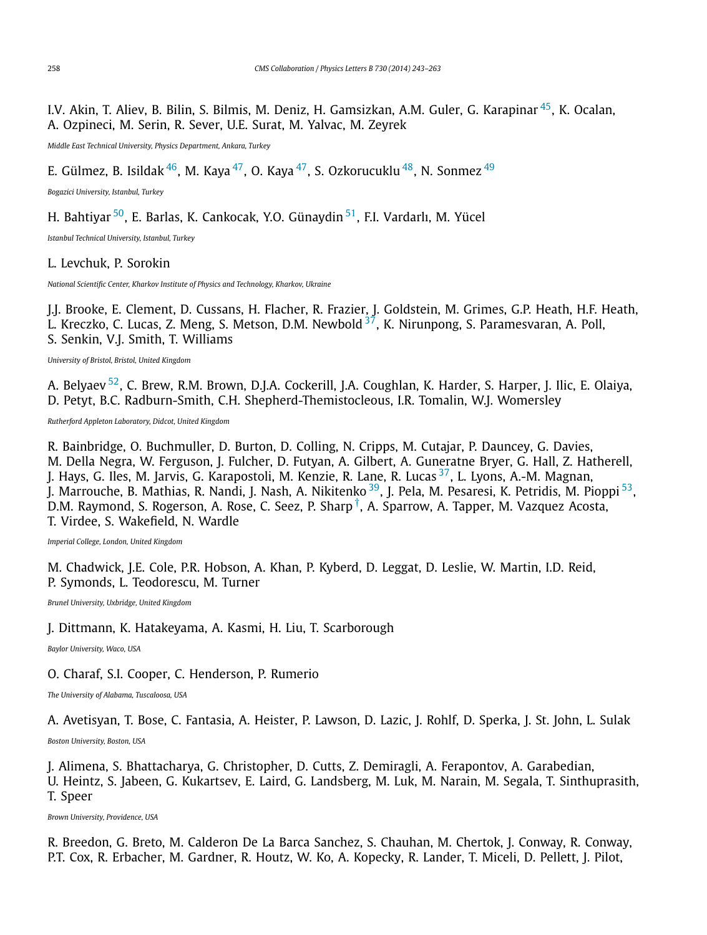I.V. Akin, T. Aliev, B. Bilin, S. Bilmis, M. Deniz, H. Gamsizkan, A.M. Guler, G. Karapinar [45,](#page-20-0) K. Ocalan, A. Ozpineci, M. Serin, R. Sever, U.E. Surat, M. Yalvac, M. Zeyrek

*Middle East Technical University, Physics Department, Ankara, Turkey*

E. Gülmez, B. Isildak  $46$ , M. Kaya  $47$ , O. Kaya  $47$ , S. Ozkorucuklu  $48$ , N. Sonmez  $49$ 

*Bogazici University, Istanbul, Turkey*

H. Bahtiyar <sup>50</sup>, E. Barlas, K. Cankocak, Y.O. Günaydin <sup>51</sup>, F.I. Vardarlı, M. Yücel

*Istanbul Technical University, Istanbul, Turkey*

# L. Levchuk, P. Sorokin

*National Scientific Center, Kharkov Institute of Physics and Technology, Kharkov, Ukraine*

J.J. Brooke, E. Clement, D. Cussans, H. Flacher, R. Frazier, J. Goldstein, M. Grimes, G.P. Heath, H.F. Heath, L. Kreczko, C. Lucas, Z. Meng, S. Metson, D.M. Newbold <sup>37</sup>, K. Nirunpong, S. Paramesvaran, A. Poll, S. Senkin, V.J. Smith, T. Williams

*University of Bristol, Bristol, United Kingdom*

A. Belyaev [52,](#page-20-0) C. Brew, R.M. Brown, D.J.A. Cockerill, J.A. Coughlan, K. Harder, S. Harper, J. Ilic, E. Olaiya, D. Petyt, B.C. Radburn-Smith, C.H. Shepherd-Themistocleous, I.R. Tomalin, W.J. Womersley

*Rutherford Appleton Laboratory, Didcot, United Kingdom*

R. Bainbridge, O. Buchmuller, D. Burton, D. Colling, N. Cripps, M. Cutajar, P. Dauncey, G. Davies, M. Della Negra, W. Ferguson, J. Fulcher, D. Futyan, A. Gilbert, A. Guneratne Bryer, G. Hall, Z. Hatherell, J. Hays, G. Iles, M. Jarvis, G. Karapostoli, M. Kenzie, R. Lane, R. Lucas [37,](#page-20-0) L. Lyons, A.-M. Magnan, J. Marrouche, B. Mathias, R. Nandi, J. Nash, A. Nikitenko [39,](#page-20-0) J. Pela, M. Pesaresi, K. Petridis, M. Pioppi [53,](#page-20-0) D.M. Raymond, S. Rogerson, A. Rose, C. Seez, P. Sharp [†,](#page-19-0) A. Sparrow, A. Tapper, M. Vazquez Acosta, T. Virdee, S. Wakefield, N. Wardle

*Imperial College, London, United Kingdom*

M. Chadwick, J.E. Cole, P.R. Hobson, A. Khan, P. Kyberd, D. Leggat, D. Leslie, W. Martin, I.D. Reid, P. Symonds, L. Teodorescu, M. Turner

*Brunel University, Uxbridge, United Kingdom*

# J. Dittmann, K. Hatakeyama, A. Kasmi, H. Liu, T. Scarborough

*Baylor University, Waco, USA*

# O. Charaf, S.I. Cooper, C. Henderson, P. Rumerio

*The University of Alabama, Tuscaloosa, USA*

A. Avetisyan, T. Bose, C. Fantasia, A. Heister, P. Lawson, D. Lazic, J. Rohlf, D. Sperka, J. St. John, L. Sulak *Boston University, Boston, USA*

J. Alimena, S. Bhattacharya, G. Christopher, D. Cutts, Z. Demiragli, A. Ferapontov, A. Garabedian, U. Heintz, S. Jabeen, G. Kukartsev, E. Laird, G. Landsberg, M. Luk, M. Narain, M. Segala, T. Sinthuprasith, T. Speer

*Brown University, Providence, USA*

R. Breedon, G. Breto, M. Calderon De La Barca Sanchez, S. Chauhan, M. Chertok, J. Conway, R. Conway, P.T. Cox, R. Erbacher, M. Gardner, R. Houtz, W. Ko, A. Kopecky, R. Lander, T. Miceli, D. Pellett, J. Pilot,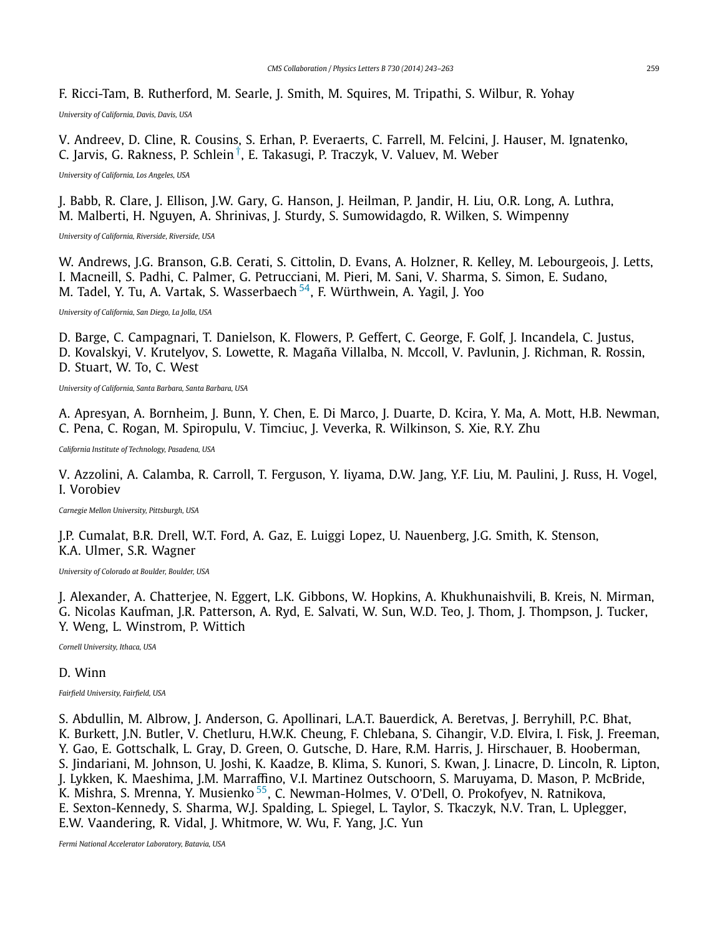# F. Ricci-Tam, B. Rutherford, M. Searle, J. Smith, M. Squires, M. Tripathi, S. Wilbur, R. Yohay

*University of California, Davis, Davis, USA*

V. Andreev, D. Cline, R. Cousins, S. Erhan, P. Everaerts, C. Farrell, M. Felcini, J. Hauser, M. Ignatenko, C. Jarvis, G. Rakness, P. Schlein<sup>†</sup>, E. Takasugi, P. Traczyk, V. Valuev, M. Weber

*University of California, Los Angeles, USA*

J. Babb, R. Clare, J. Ellison, J.W. Gary, G. Hanson, J. Heilman, P. Jandir, H. Liu, O.R. Long, A. Luthra, M. Malberti, H. Nguyen, A. Shrinivas, J. Sturdy, S. Sumowidagdo, R. Wilken, S. Wimpenny

*University of California, Riverside, Riverside, USA*

W. Andrews, J.G. Branson, G.B. Cerati, S. Cittolin, D. Evans, A. Holzner, R. Kelley, M. Lebourgeois, J. Letts, I. Macneill, S. Padhi, C. Palmer, G. Petrucciani, M. Pieri, M. Sani, V. Sharma, S. Simon, E. Sudano, M. Tadel, Y. Tu, A. Vartak, S. Wasserbaech [54,](#page-20-0) F. Würthwein, A. Yagil, J. Yoo

*University of California, San Diego, La Jolla, USA*

D. Barge, C. Campagnari, T. Danielson, K. Flowers, P. Geffert, C. George, F. Golf, J. Incandela, C. Justus, D. Kovalskyi, V. Krutelyov, S. Lowette, R. Magaña Villalba, N. Mccoll, V. Pavlunin, J. Richman, R. Rossin, D. Stuart, W. To, C. West

*University of California, Santa Barbara, Santa Barbara, USA*

A. Apresyan, A. Bornheim, J. Bunn, Y. Chen, E. Di Marco, J. Duarte, D. Kcira, Y. Ma, A. Mott, H.B. Newman, C. Pena, C. Rogan, M. Spiropulu, V. Timciuc, J. Veverka, R. Wilkinson, S. Xie, R.Y. Zhu

*California Institute of Technology, Pasadena, USA*

V. Azzolini, A. Calamba, R. Carroll, T. Ferguson, Y. Iiyama, D.W. Jang, Y.F. Liu, M. Paulini, J. Russ, H. Vogel, I. Vorobiev

*Carnegie Mellon University, Pittsburgh, USA*

J.P. Cumalat, B.R. Drell, W.T. Ford, A. Gaz, E. Luiggi Lopez, U. Nauenberg, J.G. Smith, K. Stenson, K.A. Ulmer, S.R. Wagner

*University of Colorado at Boulder, Boulder, USA*

J. Alexander, A. Chatterjee, N. Eggert, L.K. Gibbons, W. Hopkins, A. Khukhunaishvili, B. Kreis, N. Mirman, G. Nicolas Kaufman, J.R. Patterson, A. Ryd, E. Salvati, W. Sun, W.D. Teo, J. Thom, J. Thompson, J. Tucker, Y. Weng, L. Winstrom, P. Wittich

*Cornell University, Ithaca, USA*

# D. Winn

*Fairfield University, Fairfield, USA*

S. Abdullin, M. Albrow, J. Anderson, G. Apollinari, L.A.T. Bauerdick, A. Beretvas, J. Berryhill, P.C. Bhat, K. Burkett, J.N. Butler, V. Chetluru, H.W.K. Cheung, F. Chlebana, S. Cihangir, V.D. Elvira, I. Fisk, J. Freeman, Y. Gao, E. Gottschalk, L. Gray, D. Green, O. Gutsche, D. Hare, R.M. Harris, J. Hirschauer, B. Hooberman, S. Jindariani, M. Johnson, U. Joshi, K. Kaadze, B. Klima, S. Kunori, S. Kwan, J. Linacre, D. Lincoln, R. Lipton, J. Lykken, K. Maeshima, J.M. Marraffino, V.I. Martinez Outschoorn, S. Maruyama, D. Mason, P. McBride, K. Mishra, S. Mrenna, Y. Musienko <sup>55</sup>, C. Newman-Holmes, V. O'Dell, O. Prokofyev, N. Ratnikova, E. Sexton-Kennedy, S. Sharma, W.J. Spalding, L. Spiegel, L. Taylor, S. Tkaczyk, N.V. Tran, L. Uplegger, E.W. Vaandering, R. Vidal, J. Whitmore, W. Wu, F. Yang, J.C. Yun

*Fermi National Accelerator Laboratory, Batavia, USA*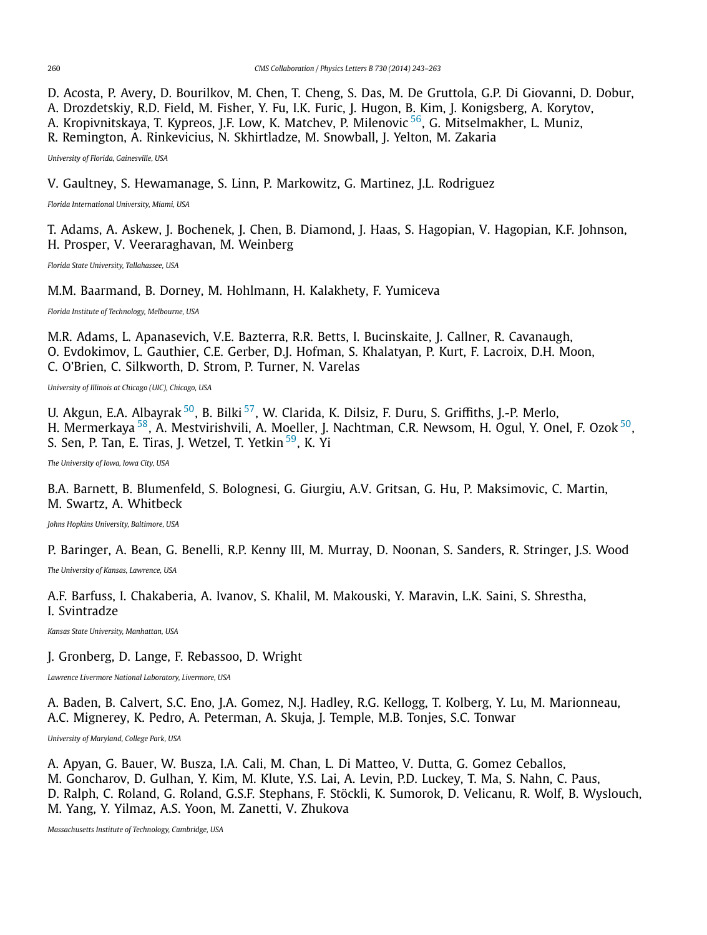D. Acosta, P. Avery, D. Bourilkov, M. Chen, T. Cheng, S. Das, M. De Gruttola, G.P. Di Giovanni, D. Dobur, A. Drozdetskiy, R.D. Field, M. Fisher, Y. Fu, I.K. Furic, J. Hugon, B. Kim, J. Konigsberg, A. Korytov, A. Kropivnitskaya, T. Kypreos, J.F. Low, K. Matchev, P. Milenovic [56,](#page-20-0) G. Mitselmakher, L. Muniz, R. Remington, A. Rinkevicius, N. Skhirtladze, M. Snowball, J. Yelton, M. Zakaria

*University of Florida, Gainesville, USA*

# V. Gaultney, S. Hewamanage, S. Linn, P. Markowitz, G. Martinez, J.L. Rodriguez

*Florida International University, Miami, USA*

T. Adams, A. Askew, J. Bochenek, J. Chen, B. Diamond, J. Haas, S. Hagopian, V. Hagopian, K.F. Johnson, H. Prosper, V. Veeraraghavan, M. Weinberg

*Florida State University, Tallahassee, USA*

M.M. Baarmand, B. Dorney, M. Hohlmann, H. Kalakhety, F. Yumiceva

*Florida Institute of Technology, Melbourne, USA*

M.R. Adams, L. Apanasevich, V.E. Bazterra, R.R. Betts, I. Bucinskaite, J. Callner, R. Cavanaugh, O. Evdokimov, L. Gauthier, C.E. Gerber, D.J. Hofman, S. Khalatyan, P. Kurt, F. Lacroix, D.H. Moon, C. O'Brien, C. Silkworth, D. Strom, P. Turner, N. Varelas

*University of Illinois at Chicago (UIC), Chicago, USA*

U. Akgun, E.A. Albayrak <sup>50</sup>, B. Bilki <sup>57</sup>, W. Clarida, K. Dilsiz, F. Duru, S. Griffiths, J.-P. Merlo, H. Mermerkaya [58,](#page-20-0) A. Mestvirishvili, A. Moeller, J. Nachtman, C.R. Newsom, H. Ogul, Y. Onel, F. Ozok [50,](#page-20-0) S. Sen, P. Tan, E. Tiras, J. Wetzel, T. Yetkin <sup>59</sup>, K. Yi

*The University of Iowa, Iowa City, USA*

B.A. Barnett, B. Blumenfeld, S. Bolognesi, G. Giurgiu, A.V. Gritsan, G. Hu, P. Maksimovic, C. Martin, M. Swartz, A. Whitbeck

*Johns Hopkins University, Baltimore, USA*

P. Baringer, A. Bean, G. Benelli, R.P. Kenny III, M. Murray, D. Noonan, S. Sanders, R. Stringer, J.S. Wood

*The University of Kansas, Lawrence, USA*

A.F. Barfuss, I. Chakaberia, A. Ivanov, S. Khalil, M. Makouski, Y. Maravin, L.K. Saini, S. Shrestha, I. Svintradze

*Kansas State University, Manhattan, USA*

# J. Gronberg, D. Lange, F. Rebassoo, D. Wright

*Lawrence Livermore National Laboratory, Livermore, USA*

A. Baden, B. Calvert, S.C. Eno, J.A. Gomez, N.J. Hadley, R.G. Kellogg, T. Kolberg, Y. Lu, M. Marionneau, A.C. Mignerey, K. Pedro, A. Peterman, A. Skuja, J. Temple, M.B. Tonjes, S.C. Tonwar

*University of Maryland, College Park, USA*

A. Apyan, G. Bauer, W. Busza, I.A. Cali, M. Chan, L. Di Matteo, V. Dutta, G. Gomez Ceballos, M. Goncharov, D. Gulhan, Y. Kim, M. Klute, Y.S. Lai, A. Levin, P.D. Luckey, T. Ma, S. Nahn, C. Paus, D. Ralph, C. Roland, G. Roland, G.S.F. Stephans, F. Stöckli, K. Sumorok, D. Velicanu, R. Wolf, B. Wyslouch, M. Yang, Y. Yilmaz, A.S. Yoon, M. Zanetti, V. Zhukova

*Massachusetts Institute of Technology, Cambridge, USA*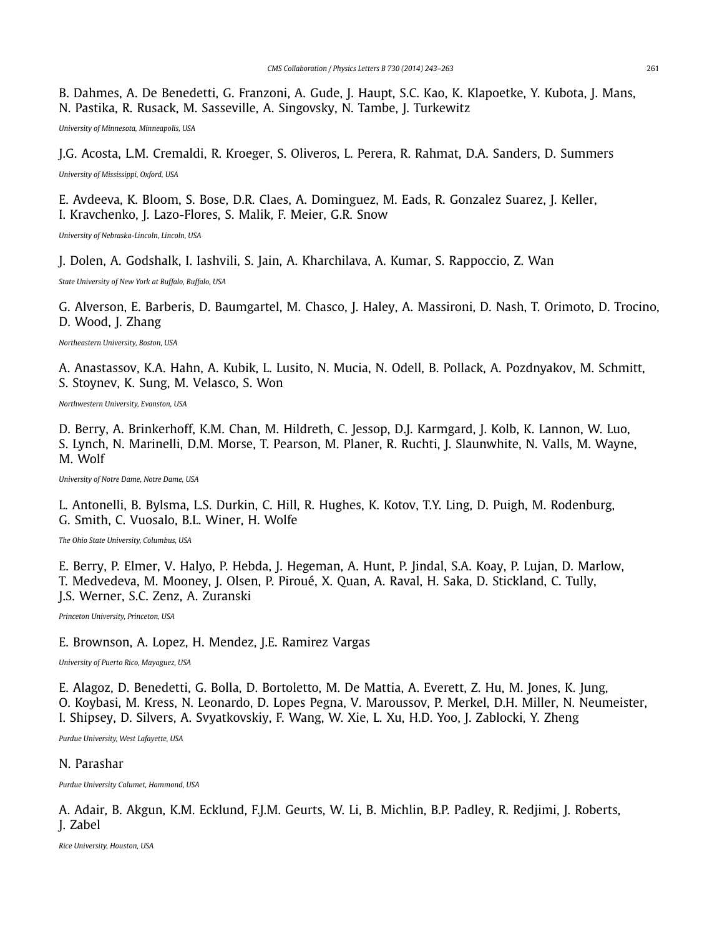B. Dahmes, A. De Benedetti, G. Franzoni, A. Gude, J. Haupt, S.C. Kao, K. Klapoetke, Y. Kubota, J. Mans, N. Pastika, R. Rusack, M. Sasseville, A. Singovsky, N. Tambe, J. Turkewitz

*University of Minnesota, Minneapolis, USA*

J.G. Acosta, L.M. Cremaldi, R. Kroeger, S. Oliveros, L. Perera, R. Rahmat, D.A. Sanders, D. Summers *University of Mississippi, Oxford, USA*

E. Avdeeva, K. Bloom, S. Bose, D.R. Claes, A. Dominguez, M. Eads, R. Gonzalez Suarez, J. Keller, I. Kravchenko, J. Lazo-Flores, S. Malik, F. Meier, G.R. Snow

*University of Nebraska-Lincoln, Lincoln, USA*

J. Dolen, A. Godshalk, I. Iashvili, S. Jain, A. Kharchilava, A. Kumar, S. Rappoccio, Z. Wan

*State University of New York at Buffalo, Buffalo, USA*

G. Alverson, E. Barberis, D. Baumgartel, M. Chasco, J. Haley, A. Massironi, D. Nash, T. Orimoto, D. Trocino, D. Wood, J. Zhang

*Northeastern University, Boston, USA*

A. Anastassov, K.A. Hahn, A. Kubik, L. Lusito, N. Mucia, N. Odell, B. Pollack, A. Pozdnyakov, M. Schmitt, S. Stoynev, K. Sung, M. Velasco, S. Won

*Northwestern University, Evanston, USA*

D. Berry, A. Brinkerhoff, K.M. Chan, M. Hildreth, C. Jessop, D.J. Karmgard, J. Kolb, K. Lannon, W. Luo, S. Lynch, N. Marinelli, D.M. Morse, T. Pearson, M. Planer, R. Ruchti, J. Slaunwhite, N. Valls, M. Wayne, M. Wolf

*University of Notre Dame, Notre Dame, USA*

L. Antonelli, B. Bylsma, L.S. Durkin, C. Hill, R. Hughes, K. Kotov, T.Y. Ling, D. Puigh, M. Rodenburg, G. Smith, C. Vuosalo, B.L. Winer, H. Wolfe

*The Ohio State University, Columbus, USA*

E. Berry, P. Elmer, V. Halyo, P. Hebda, J. Hegeman, A. Hunt, P. Jindal, S.A. Koay, P. Lujan, D. Marlow, T. Medvedeva, M. Mooney, J. Olsen, P. Piroué, X. Quan, A. Raval, H. Saka, D. Stickland, C. Tully, J.S. Werner, S.C. Zenz, A. Zuranski

*Princeton University, Princeton, USA*

E. Brownson, A. Lopez, H. Mendez, J.E. Ramirez Vargas

*University of Puerto Rico, Mayaguez, USA*

E. Alagoz, D. Benedetti, G. Bolla, D. Bortoletto, M. De Mattia, A. Everett, Z. Hu, M. Jones, K. Jung, O. Koybasi, M. Kress, N. Leonardo, D. Lopes Pegna, V. Maroussov, P. Merkel, D.H. Miller, N. Neumeister, I. Shipsey, D. Silvers, A. Svyatkovskiy, F. Wang, W. Xie, L. Xu, H.D. Yoo, J. Zablocki, Y. Zheng

*Purdue University, West Lafayette, USA*

N. Parashar

*Purdue University Calumet, Hammond, USA*

A. Adair, B. Akgun, K.M. Ecklund, F.J.M. Geurts, W. Li, B. Michlin, B.P. Padley, R. Redjimi, J. Roberts, J. Zabel

*Rice University, Houston, USA*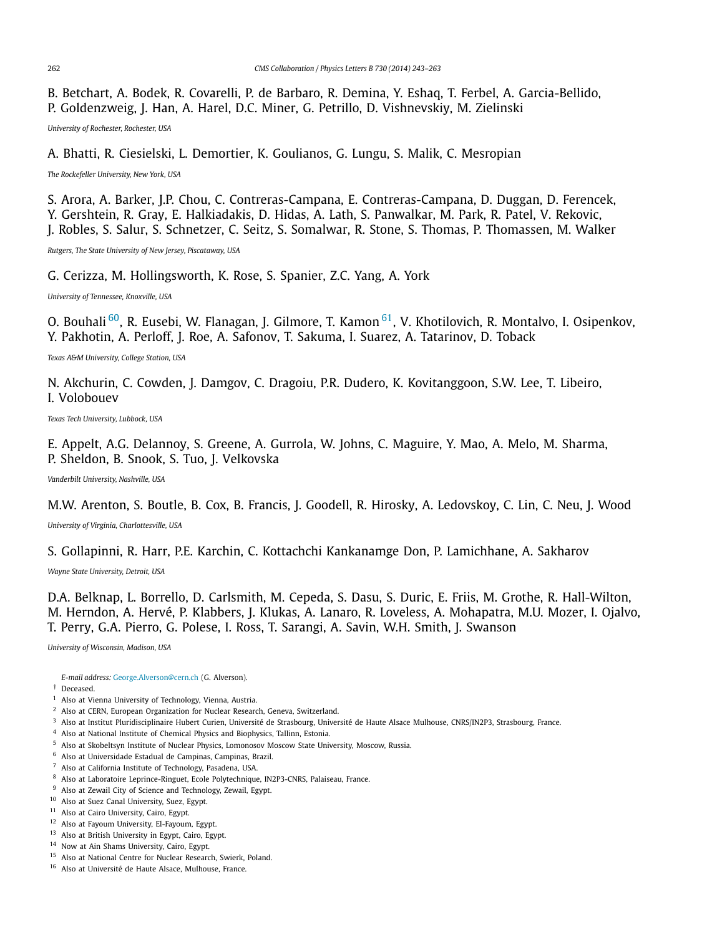<span id="page-19-0"></span>B. Betchart, A. Bodek, R. Covarelli, P. de Barbaro, R. Demina, Y. Eshaq, T. Ferbel, A. Garcia-Bellido, P. Goldenzweig, J. Han, A. Harel, D.C. Miner, G. Petrillo, D. Vishnevskiy, M. Zielinski

*University of Rochester, Rochester, USA*

A. Bhatti, R. Ciesielski, L. Demortier, K. Goulianos, G. Lungu, S. Malik, C. Mesropian

*The Rockefeller University, New York, USA*

S. Arora, A. Barker, J.P. Chou, C. Contreras-Campana, E. Contreras-Campana, D. Duggan, D. Ferencek, Y. Gershtein, R. Gray, E. Halkiadakis, D. Hidas, A. Lath, S. Panwalkar, M. Park, R. Patel, V. Rekovic, J. Robles, S. Salur, S. Schnetzer, C. Seitz, S. Somalwar, R. Stone, S. Thomas, P. Thomassen, M. Walker

*Rutgers, The State University of New Jersey, Piscataway, USA*

G. Cerizza, M. Hollingsworth, K. Rose, S. Spanier, Z.C. Yang, A. York

*University of Tennessee, Knoxville, USA*

O. Bouhali <sup>60</sup>, R. Eusebi, W. Flanagan, J. Gilmore, T. Kamon <sup>61</sup>, V. Khotilovich, R. Montalvo, I. Osipenkov, Y. Pakhotin, A. Perloff, J. Roe, A. Safonov, T. Sakuma, I. Suarez, A. Tatarinov, D. Toback

*Texas A&M University, College Station, USA*

N. Akchurin, C. Cowden, J. Damgov, C. Dragoiu, P.R. Dudero, K. Kovitanggoon, S.W. Lee, T. Libeiro, I. Volobouev

*Texas Tech University, Lubbock, USA*

E. Appelt, A.G. Delannoy, S. Greene, A. Gurrola, W. Johns, C. Maguire, Y. Mao, A. Melo, M. Sharma, P. Sheldon, B. Snook, S. Tuo, J. Velkovska

*Vanderbilt University, Nashville, USA*

M.W. Arenton, S. Boutle, B. Cox, B. Francis, J. Goodell, R. Hirosky, A. Ledovskoy, C. Lin, C. Neu, J. Wood

*University of Virginia, Charlottesville, USA*

S. Gollapinni, R. Harr, P.E. Karchin, C. Kottachchi Kankanamge Don, P. Lamichhane, A. Sakharov

*Wayne State University, Detroit, USA*

D.A. Belknap, L. Borrello, D. Carlsmith, M. Cepeda, S. Dasu, S. Duric, E. Friis, M. Grothe, R. Hall-Wilton, M. Herndon, A. Hervé, P. Klabbers, J. Klukas, A. Lanaro, R. Loveless, A. Mohapatra, M.U. Mozer, I. Ojalvo, T. Perry, G.A. Pierro, G. Polese, I. Ross, T. Sarangi, A. Savin, W.H. Smith, J. Swanson

*University of Wisconsin, Madison, USA*

*E-mail address:* [George.Alverson@cern.ch](mailto:George.Alverson@cern.ch) (G. Alverson).

† Deceased.

- $1$  Also at Vienna University of Technology, Vienna, Austria.
- <sup>2</sup> Also at CERN, European Organization for Nuclear Research, Geneva, Switzerland.
- <sup>3</sup> Also at Institut Pluridisciplinaire Hubert Curien, Université de Strasbourg, Université de Haute Alsace Mulhouse, CNRS/IN2P3, Strasbourg, France.
- <sup>4</sup> Also at National Institute of Chemical Physics and Biophysics, Tallinn, Estonia.
- <sup>5</sup> Also at Skobeltsyn Institute of Nuclear Physics, Lomonosov Moscow State University, Moscow, Russia.
- <sup>6</sup> Also at Universidade Estadual de Campinas, Campinas, Brazil.
- <sup>7</sup> Also at California Institute of Technology, Pasadena, USA.
- <sup>8</sup> Also at Laboratoire Leprince-Ringuet, Ecole Polytechnique, IN2P3-CNRS, Palaiseau, France.
- <sup>9</sup> Also at Zewail City of Science and Technology, Zewail, Egypt.
- <sup>10</sup> Also at Suez Canal University, Suez, Egypt.
- <sup>11</sup> Also at Cairo University, Cairo, Egypt.
- <sup>12</sup> Also at Fayoum University, El-Fayoum, Egypt.
- <sup>13</sup> Also at British University in Egypt, Cairo, Egypt.
- <sup>14</sup> Now at Ain Shams University, Cairo, Egypt.
- <sup>15</sup> Also at National Centre for Nuclear Research, Swierk, Poland.
- <sup>16</sup> Also at Université de Haute Alsace, Mulhouse, France.